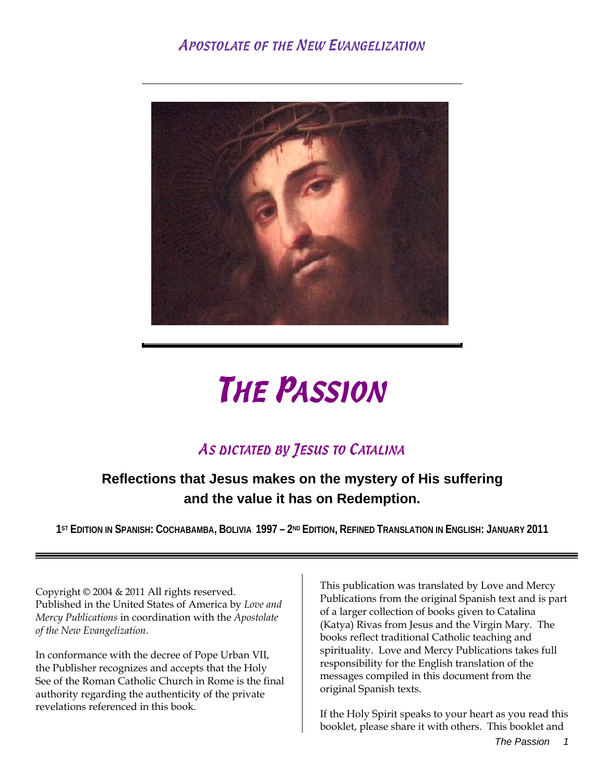## APOSTOLATE OF THE NEW EVANGELIZATION



# THE PASSION

## AS DICTATED BY JESUS TO CATALINA

## **Reflections that Jesus makes on the mystery of His suffering and the value it has on Redemption.**

**1ST EDITION IN SPANISH: COCHABAMBA, BOLIVIA 1997 – 2ND EDITION, REFINED TRANSLATION IN ENGLISH: JANUARY 2011**

Copyright © 2004 & 2011 All rights reserved. Published in the United States of America by *Love and Mercy Publications* in coordination with the *Apostolate of the New Evangelization*.

In conformance with the decree of Pope Urban VII, the Publisher recognizes and accepts that the Holy See of the Roman Catholic Church in Rome is the final authority regarding the authenticity of the private revelations referenced in this book.

This publication was translated by Love and Mercy Publications from the original Spanish text and is part of a larger collection of books given to Catalina (Katya) Rivas from Jesus and the Virgin Mary. The books reflect traditional Catholic teaching and spirituality. Love and Mercy Publications takes full responsibility for the English translation of the messages compiled in this document from the original Spanish texts.

If the Holy Spirit speaks to your heart as you read this booklet, please share it with others. This booklet and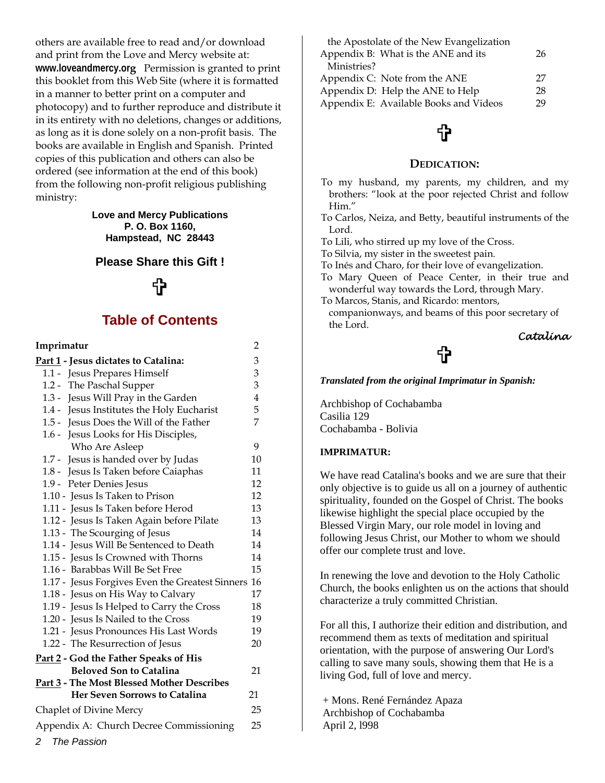others are available free to read and/or download and print from the Love and Mercy website at: **www.loveandmercy.org** Permission is granted to print this booklet from this Web Site (where it is formatted in a manner to better print on a computer and photocopy) and to further reproduce and distribute it in its entirety with no deletions, changes or additions, as long as it is done solely on a non-profit basis. The books are available in English and Spanish. Printed copies of this publication and others can also be ordered (see information at the end of this book) from the following non-profit religious publishing ministry:

> **Love and Mercy Publications P. O. Box 1160, Hampstead, NC 28443**

#### **Please Share this Gift !**

## €

### **Table of Contents**

| Imprimatur                                         | $\overline{c}$ |
|----------------------------------------------------|----------------|
| Part 1 - Jesus dictates to Catalina:               | 3              |
| 1.1 - Jesus Prepares Himself                       | 3              |
| The Paschal Supper<br>$1.2 -$                      | 3              |
| Jesus Will Pray in the Garden<br>$1.3 -$           | 4              |
| 1.4 - Jesus Institutes the Holy Eucharist          | 5              |
| 1.5 - Jesus Does the Will of the Father            | 7              |
| 1.6 - Jesus Looks for His Disciples,               |                |
| Who Are Asleep                                     | 9              |
| 1.7 - Jesus is handed over by Judas                | 10             |
| 1.8 - Jesus Is Taken before Caiaphas               | 11             |
| 1.9 - Peter Denies Jesus                           | 12             |
| 1.10 - Jesus Is Taken to Prison                    | 12             |
| 1.11 - Jesus Is Taken before Herod                 | 13             |
| 1.12 - Jesus Is Taken Again before Pilate          | 13             |
| 1.13 - The Scourging of Jesus                      | 14             |
| 1.14 - Jesus Will Be Sentenced to Death            | 14             |
| 1.15 - Jesus Is Crowned with Thorns                | 14             |
| 1.16 - Barabbas Will Be Set Free                   | 15             |
| 1.17 - Jesus Forgives Even the Greatest Sinners 16 |                |
| 1.18 - Jesus on His Way to Calvary                 | 17             |
| 1.19 - Jesus Is Helped to Carry the Cross          | 18             |
| 1.20 - Jesus Is Nailed to the Cross                | 19             |
| 1.21 - Jesus Pronounces His Last Words             | 19             |
| 1.22 - The Resurrection of Jesus                   | 20             |
| Part 2 - God the Father Speaks of His              |                |
| <b>Beloved Son to Catalina</b>                     | 21             |
| Part 3 - The Most Blessed Mother Describes         |                |
| <b>Her Seven Sorrows to Catalina</b>               | 21             |
| <b>Chaplet of Divine Mercy</b>                     | 25             |
| Appendix A: Church Decree Commissioning            | 25             |
| 2 The Passion                                      |                |

| the Apostolate of the New Evangelization |    |
|------------------------------------------|----|
| Appendix B: What is the ANE and its      | 26 |
| Ministries?                              |    |
| Appendix C: Note from the ANE            | 27 |
| Appendix D: Help the ANE to Help         | 28 |
| Appendix E: Available Books and Videos   | 29 |

## €

#### **DEDICATION:**

- To my husband, my parents, my children, and my brothers: "look at the poor rejected Christ and follow Him."
- To Carlos, Neiza, and Betty, beautiful instruments of the Lord.
- To Lili, who stirred up my love of the Cross.
- To Silvia, my sister in the sweetest pain.
- To Inés and Charo, for their love of evangelization.
- To Mary Queen of Peace Center, in their true and wonderful way towards the Lord, through Mary.
- To Marcos, Stanis, and Ricardo: mentors,
- companionways, and beams of this poor secretary of the Lord.

*Catalina* 

## t

*Translated from the original Imprimatur in Spanish:* 

Archbishop of Cochabamba Casilia 129 Cochabamba - Bolivia

#### **IMPRIMATUR:**

We have read Catalina's books and we are sure that their only objective is to guide us all on a journey of authentic spirituality, founded on the Gospel of Christ. The books likewise highlight the special place occupied by the Blessed Virgin Mary, our role model in loving and following Jesus Christ, our Mother to whom we should offer our complete trust and love.

In renewing the love and devotion to the Holy Catholic Church, the books enlighten us on the actions that should characterize a truly committed Christian.

For all this, I authorize their edition and distribution, and recommend them as texts of meditation and spiritual orientation, with the purpose of answering Our Lord's calling to save many souls, showing them that He is a living God, full of love and mercy.

 + Mons. René Fernández Apaza Archbishop of Cochabamba April 2, l998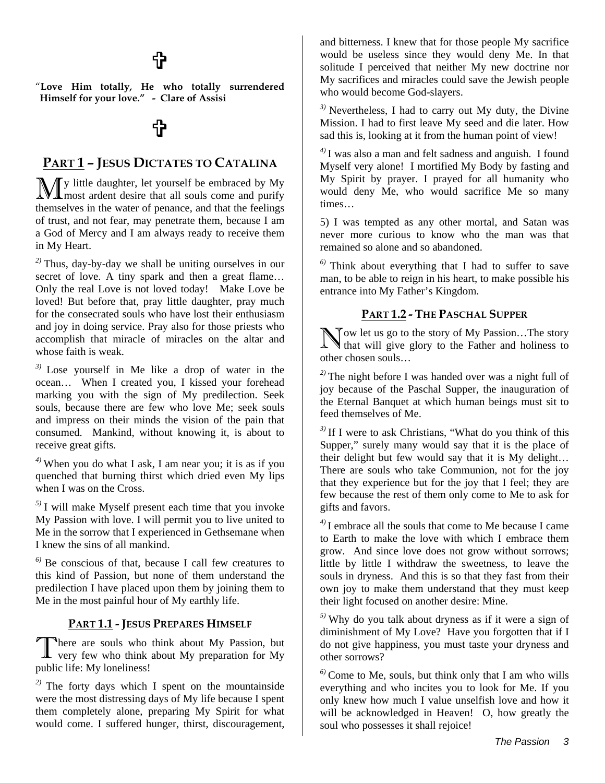## <sup>t</sup>

"**Love Him totally, He who totally surrendered Himself for your love." - Clare of Assisi**

## ₩

#### **PART 1 – JESUS DICTATES TO CATALINA**

y little daughter, let yourself be embraced by My My little daughter, let yourself be embraced by My most ardent desire that all souls come and purify themselves in the water of penance, and that the feelings of trust, and not fear, may penetrate them, because I am a God of Mercy and I am always ready to receive them in My Heart.

*2)* Thus, day-by-day we shall be uniting ourselves in our secret of love. A tiny spark and then a great flame... Only the real Love is not loved today! Make Love be loved! But before that, pray little daughter, pray much for the consecrated souls who have lost their enthusiasm and joy in doing service. Pray also for those priests who accomplish that miracle of miracles on the altar and whose faith is weak.

*3)* Lose yourself in Me like a drop of water in the ocean… When I created you, I kissed your forehead marking you with the sign of My predilection. Seek souls, because there are few who love Me; seek souls and impress on their minds the vision of the pain that consumed. Mankind, without knowing it, is about to receive great gifts.

*4)* When you do what I ask, I am near you; it is as if you quenched that burning thirst which dried even My lips when I was on the Cross.

*5)* I will make Myself present each time that you invoke My Passion with love. I will permit you to live united to Me in the sorrow that I experienced in Gethsemane when I knew the sins of all mankind.

*6)* Be conscious of that, because I call few creatures to this kind of Passion, but none of them understand the predilection I have placed upon them by joining them to Me in the most painful hour of My earthly life.

#### **PART 1.1 - JESUS PREPARES HIMSELF**

here are souls who think about My Passion, but very few who think about My preparation for My public life: My loneliness! T

*2)* The forty days which I spent on the mountainside were the most distressing days of My life because I spent them completely alone, preparing My Spirit for what would come. I suffered hunger, thirst, discouragement,

and bitterness. I knew that for those people My sacrifice would be useless since they would deny Me. In that solitude I perceived that neither My new doctrine nor My sacrifices and miracles could save the Jewish people who would become God-slayers.

*3)* Nevertheless, I had to carry out My duty, the Divine Mission. I had to first leave My seed and die later. How sad this is, looking at it from the human point of view!

*4)* I was also a man and felt sadness and anguish. I found Myself very alone! I mortified My Body by fasting and My Spirit by prayer. I prayed for all humanity who would deny Me, who would sacrifice Me so many times…

5) I was tempted as any other mortal, and Satan was never more curious to know who the man was that remained so alone and so abandoned.

*6)* Think about everything that I had to suffer to save man, to be able to reign in his heart, to make possible his entrance into My Father's Kingdom.

#### **PART 1.2 - THE PASCHAL SUPPER**

Now let us go to the story of My Passion...The story that will give glory to the Father and holiness to **that will give glory to the Father and holiness to** other chosen souls…

*2)* The night before I was handed over was a night full of joy because of the Paschal Supper, the inauguration of the Eternal Banquet at which human beings must sit to feed themselves of Me.

*3)* If I were to ask Christians, "What do you think of this Supper," surely many would say that it is the place of their delight but few would say that it is My delight… There are souls who take Communion, not for the joy that they experience but for the joy that I feel; they are few because the rest of them only come to Me to ask for gifts and favors.

*4)* I embrace all the souls that come to Me because I came to Earth to make the love with which I embrace them grow. And since love does not grow without sorrows; little by little I withdraw the sweetness, to leave the souls in dryness. And this is so that they fast from their own joy to make them understand that they must keep their light focused on another desire: Mine.

*5)* Why do you talk about dryness as if it were a sign of diminishment of My Love? Have you forgotten that if I do not give happiness, you must taste your dryness and other sorrows?

*6)* Come to Me, souls, but think only that I am who wills everything and who incites you to look for Me. If you only knew how much I value unselfish love and how it will be acknowledged in Heaven! O, how greatly the soul who possesses it shall rejoice!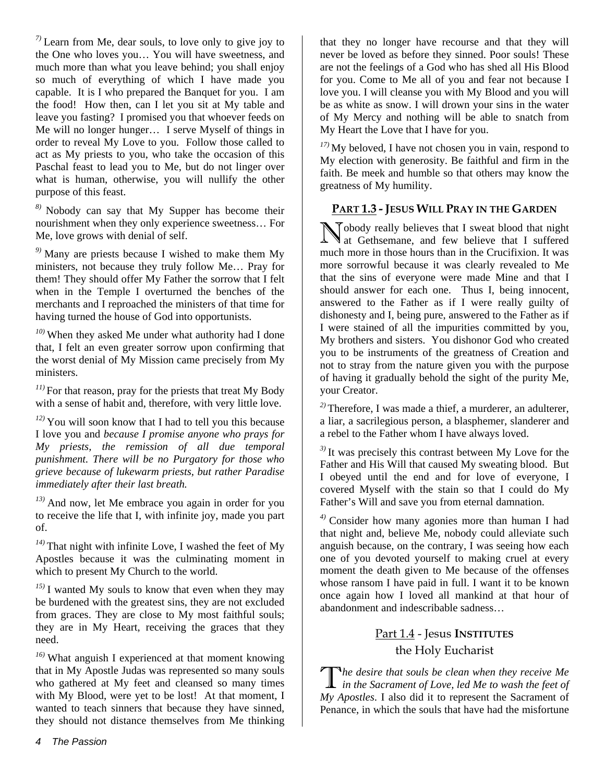*7)* Learn from Me, dear souls, to love only to give joy to the One who loves you… You will have sweetness, and much more than what you leave behind; you shall enjoy so much of everything of which I have made you capable. It is I who prepared the Banquet for you. I am the food! How then, can I let you sit at My table and leave you fasting? I promised you that whoever feeds on Me will no longer hunger… I serve Myself of things in order to reveal My Love to you. Follow those called to act as My priests to you, who take the occasion of this Paschal feast to lead you to Me, but do not linger over what is human, otherwise, you will nullify the other purpose of this feast.

*8)* Nobody can say that My Supper has become their nourishment when they only experience sweetness… For Me, love grows with denial of self.

*9)* Many are priests because I wished to make them My ministers, not because they truly follow Me… Pray for them! They should offer My Father the sorrow that I felt when in the Temple I overturned the benches of the merchants and I reproached the ministers of that time for having turned the house of God into opportunists.

*10)* When they asked Me under what authority had I done that, I felt an even greater sorrow upon confirming that the worst denial of My Mission came precisely from My ministers.

*11)* For that reason, pray for the priests that treat My Body with a sense of habit and, therefore, with very little love.

*12)* You will soon know that I had to tell you this because I love you and *because I promise anyone who prays for My priests, the remission of all due temporal punishment. There will be no Purgatory for those who grieve because of lukewarm priests, but rather Paradise immediately after their last breath.*

*13)* And now, let Me embrace you again in order for you to receive the life that I, with infinite joy, made you part of.

*14)* That night with infinite Love, I washed the feet of My Apostles because it was the culminating moment in which to present My Church to the world.

*15)* I wanted My souls to know that even when they may be burdened with the greatest sins, they are not excluded from graces. They are close to My most faithful souls; they are in My Heart, receiving the graces that they need.

*16)* What anguish I experienced at that moment knowing that in My Apostle Judas was represented so many souls who gathered at My feet and cleansed so many times with My Blood, were yet to be lost! At that moment, I wanted to teach sinners that because they have sinned, they should not distance themselves from Me thinking that they no longer have recourse and that they will never be loved as before they sinned. Poor souls! These are not the feelings of a God who has shed all His Blood for you. Come to Me all of you and fear not because I love you. I will cleanse you with My Blood and you will be as white as snow. I will drown your sins in the water of My Mercy and nothing will be able to snatch from My Heart the Love that I have for you.

*17)* My beloved, I have not chosen you in vain, respond to My election with generosity. Be faithful and firm in the faith. Be meek and humble so that others may know the greatness of My humility.

#### **PART 1.3 - JESUS WILL PRAY IN THE GARDEN**

Nobody really believes that I sweat blood that night at Gethsemane, and few believe that I suffered at Gethsemane, and few believe that I suffered much more in those hours than in the Crucifixion. It was more sorrowful because it was clearly revealed to Me that the sins of everyone were made Mine and that I should answer for each one. Thus I, being innocent, answered to the Father as if I were really guilty of dishonesty and I, being pure, answered to the Father as if I were stained of all the impurities committed by you, My brothers and sisters. You dishonor God who created you to be instruments of the greatness of Creation and not to stray from the nature given you with the purpose of having it gradually behold the sight of the purity Me, your Creator.

*2)* Therefore, I was made a thief, a murderer, an adulterer, a liar, a sacrilegious person, a blasphemer, slanderer and a rebel to the Father whom I have always loved.

*3)* It was precisely this contrast between My Love for the Father and His Will that caused My sweating blood. But I obeyed until the end and for love of everyone, I covered Myself with the stain so that I could do My Father's Will and save you from eternal damnation.

*4)* Consider how many agonies more than human I had that night and, believe Me, nobody could alleviate such anguish because, on the contrary, I was seeing how each one of you devoted yourself to making cruel at every moment the death given to Me because of the offenses whose ransom I have paid in full. I want it to be known once again how I loved all mankind at that hour of abandonment and indescribable sadness…

### Part 1.4 - Jesus **INSTITUTES** the Holy Eucharist

*he desire that souls be clean when they receive Me*  The desire that souls be clean when they receive Me<br>in the Sacrament of Love, led Me to wash the feet of *My Apostles*. I also did it to represent the Sacrament of Penance, in which the souls that have had the misfortune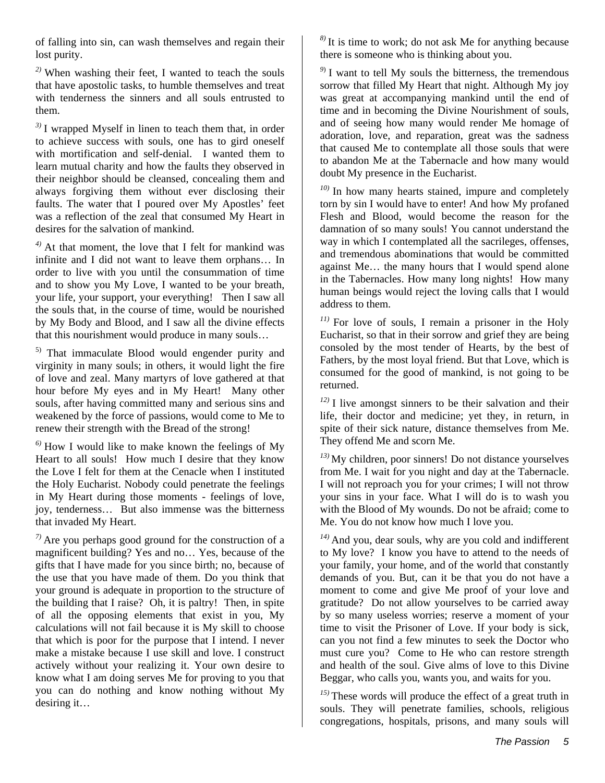of falling into sin, can wash themselves and regain their lost purity.

*2)* When washing their feet, I wanted to teach the souls that have apostolic tasks, to humble themselves and treat with tenderness the sinners and all souls entrusted to them.

*3)* I wrapped Myself in linen to teach them that, in order to achieve success with souls, one has to gird oneself with mortification and self-denial. I wanted them to learn mutual charity and how the faults they observed in their neighbor should be cleansed, concealing them and always forgiving them without ever disclosing their faults. The water that I poured over My Apostles' feet was a reflection of the zeal that consumed My Heart in desires for the salvation of mankind.

*4)* At that moment, the love that I felt for mankind was infinite and I did not want to leave them orphans… In order to live with you until the consummation of time and to show you My Love, I wanted to be your breath, your life, your support, your everything! Then I saw all the souls that, in the course of time, would be nourished by My Body and Blood, and I saw all the divine effects that this nourishment would produce in many souls…

<sup>5)</sup> That immaculate Blood would engender purity and virginity in many souls; in others, it would light the fire of love and zeal. Many martyrs of love gathered at that hour before My eyes and in My Heart! Many other souls, after having committed many and serious sins and weakened by the force of passions, would come to Me to renew their strength with the Bread of the strong!

 $^{6)}$  How I would like to make known the feelings of My Heart to all souls! How much I desire that they know the Love I felt for them at the Cenacle when I instituted the Holy Eucharist. Nobody could penetrate the feelings in My Heart during those moments - feelings of love, joy, tenderness… But also immense was the bitterness that invaded My Heart.

*7)* Are you perhaps good ground for the construction of a magnificent building? Yes and no… Yes, because of the gifts that I have made for you since birth; no, because of the use that you have made of them. Do you think that your ground is adequate in proportion to the structure of the building that I raise? Oh, it is paltry! Then, in spite of all the opposing elements that exist in you, My calculations will not fail because it is My skill to choose that which is poor for the purpose that I intend. I never make a mistake because I use skill and love. I construct actively without your realizing it. Your own desire to know what I am doing serves Me for proving to you that you can do nothing and know nothing without My desiring it…

*8)* It is time to work; do not ask Me for anything because there is someone who is thinking about you.

<sup>9)</sup> I want to tell My souls the bitterness, the tremendous sorrow that filled My Heart that night. Although My joy was great at accompanying mankind until the end of time and in becoming the Divine Nourishment of souls, and of seeing how many would render Me homage of adoration, love, and reparation, great was the sadness that caused Me to contemplate all those souls that were to abandon Me at the Tabernacle and how many would doubt My presence in the Eucharist.

*10)* In how many hearts stained, impure and completely torn by sin I would have to enter! And how My profaned Flesh and Blood, would become the reason for the damnation of so many souls! You cannot understand the way in which I contemplated all the sacrileges, offenses, and tremendous abominations that would be committed against Me… the many hours that I would spend alone in the Tabernacles. How many long nights! How many human beings would reject the loving calls that I would address to them.

*11)* For love of souls, I remain a prisoner in the Holy Eucharist, so that in their sorrow and grief they are being consoled by the most tender of Hearts, by the best of Fathers, by the most loyal friend. But that Love, which is consumed for the good of mankind, is not going to be returned.

*12)* I live amongst sinners to be their salvation and their life, their doctor and medicine; yet they, in return, in spite of their sick nature, distance themselves from Me. They offend Me and scorn Me.

*13)* My children, poor sinners! Do not distance yourselves from Me. I wait for you night and day at the Tabernacle. I will not reproach you for your crimes; I will not throw your sins in your face. What I will do is to wash you with the Blood of My wounds. Do not be afraid**;** come to Me. You do not know how much I love you.

*14)* And you, dear souls, why are you cold and indifferent to My love? I know you have to attend to the needs of your family, your home, and of the world that constantly demands of you. But, can it be that you do not have a moment to come and give Me proof of your love and gratitude? Do not allow yourselves to be carried away by so many useless worries; reserve a moment of your time to visit the Prisoner of Love. If your body is sick, can you not find a few minutes to seek the Doctor who must cure you? Come to He who can restore strength and health of the soul. Give alms of love to this Divine Beggar, who calls you, wants you, and waits for you.

*15)* These words will produce the effect of a great truth in souls. They will penetrate families, schools, religious congregations, hospitals, prisons, and many souls will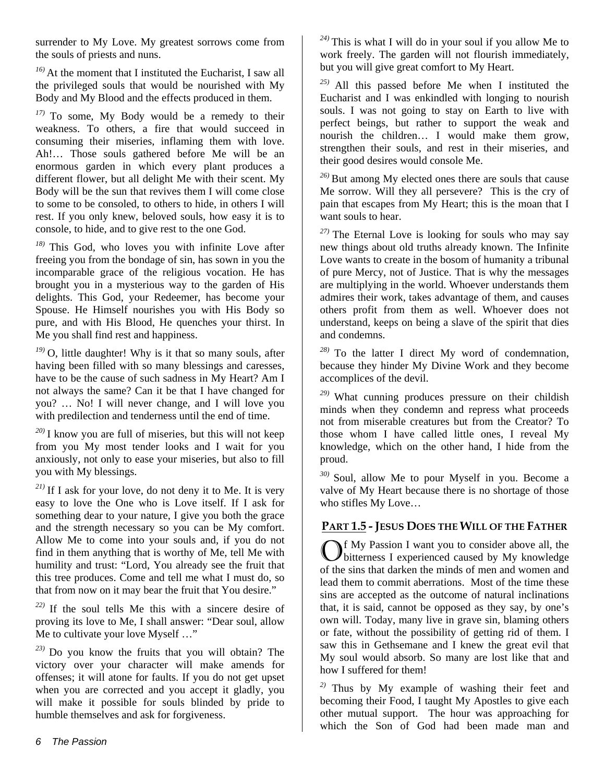surrender to My Love. My greatest sorrows come from the souls of priests and nuns.

*16)* At the moment that I instituted the Eucharist, I saw all the privileged souls that would be nourished with My Body and My Blood and the effects produced in them.

*17)* To some, My Body would be a remedy to their weakness. To others, a fire that would succeed in consuming their miseries, inflaming them with love. Ah!… Those souls gathered before Me will be an enormous garden in which every plant produces a different flower, but all delight Me with their scent. My Body will be the sun that revives them I will come close to some to be consoled, to others to hide, in others I will rest. If you only knew, beloved souls, how easy it is to console, to hide, and to give rest to the one God.

*18)* This God, who loves you with infinite Love after freeing you from the bondage of sin, has sown in you the incomparable grace of the religious vocation. He has brought you in a mysterious way to the garden of His delights. This God, your Redeemer, has become your Spouse. He Himself nourishes you with His Body so pure, and with His Blood, He quenches your thirst. In Me you shall find rest and happiness.

*19)* O, little daughter! Why is it that so many souls, after having been filled with so many blessings and caresses, have to be the cause of such sadness in My Heart? Am I not always the same? Can it be that I have changed for you? … No! I will never change, and I will love you with predilection and tenderness until the end of time.

*20)* I know you are full of miseries, but this will not keep from you My most tender looks and I wait for you anxiously, not only to ease your miseries, but also to fill you with My blessings.

 $2^{(21)}$  If I ask for your love, do not deny it to Me. It is very easy to love the One who is Love itself. If I ask for something dear to your nature, I give you both the grace and the strength necessary so you can be My comfort. Allow Me to come into your souls and, if you do not find in them anything that is worthy of Me, tell Me with humility and trust: "Lord, You already see the fruit that this tree produces. Come and tell me what I must do, so that from now on it may bear the fruit that You desire."

*22)* If the soul tells Me this with a sincere desire of proving its love to Me, I shall answer: "Dear soul, allow Me to cultivate your love Myself ..."

*23)* Do you know the fruits that you will obtain? The victory over your character will make amends for offenses; it will atone for faults. If you do not get upset when you are corrected and you accept it gladly, you will make it possible for souls blinded by pride to humble themselves and ask for forgiveness.

*24)* This is what I will do in your soul if you allow Me to work freely. The garden will not flourish immediately, but you will give great comfort to My Heart.

*25)* All this passed before Me when I instituted the Eucharist and I was enkindled with longing to nourish souls. I was not going to stay on Earth to live with perfect beings, but rather to support the weak and nourish the children… I would make them grow, strengthen their souls, and rest in their miseries, and their good desires would console Me.

*26)* But among My elected ones there are souls that cause Me sorrow. Will they all persevere? This is the cry of pain that escapes from My Heart; this is the moan that I want souls to hear.

*27)* The Eternal Love is looking for souls who may say new things about old truths already known. The Infinite Love wants to create in the bosom of humanity a tribunal of pure Mercy, not of Justice. That is why the messages are multiplying in the world. Whoever understands them admires their work, takes advantage of them, and causes others profit from them as well. Whoever does not understand, keeps on being a slave of the spirit that dies and condemns.

*28)* To the latter I direct My word of condemnation, because they hinder My Divine Work and they become accomplices of the devil.

*29)* What cunning produces pressure on their childish minds when they condemn and repress what proceeds not from miserable creatures but from the Creator? To those whom I have called little ones, I reveal My knowledge, which on the other hand, I hide from the proud.

*30)* Soul, allow Me to pour Myself in you. Become a valve of My Heart because there is no shortage of those who stifles My Love…

#### **PART 1.5 - JESUS DOES THE WILL OF THE FATHER**

f My Passion I want you to consider above all, the Of My Passion I want you to consider above all, the bitterness I experienced caused by My knowledge of the sins that darken the minds of men and women and lead them to commit aberrations. Most of the time these sins are accepted as the outcome of natural inclinations that, it is said, cannot be opposed as they say, by one's own will. Today, many live in grave sin, blaming others or fate, without the possibility of getting rid of them. I saw this in Gethsemane and I knew the great evil that My soul would absorb. So many are lost like that and how I suffered for them!

*2)* Thus by My example of washing their feet and becoming their Food, I taught My Apostles to give each other mutual support. The hour was approaching for which the Son of God had been made man and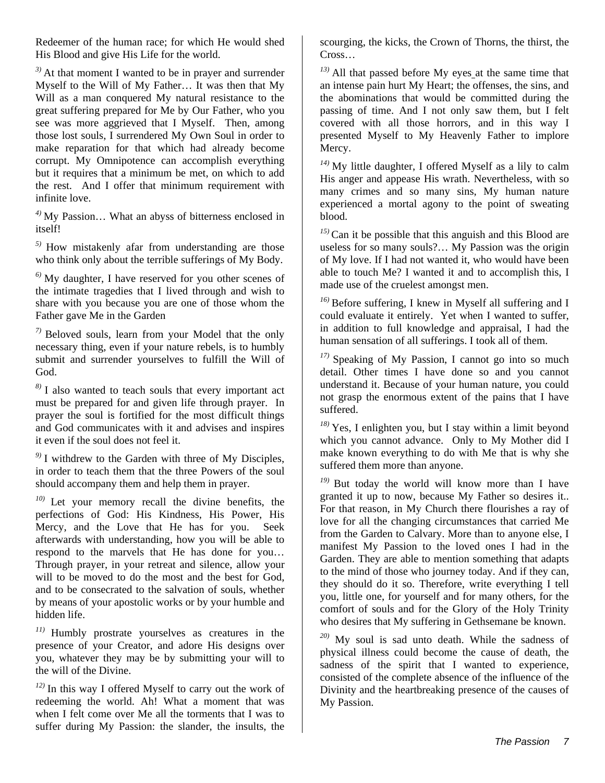Redeemer of the human race; for which He would shed His Blood and give His Life for the world.

*3)* At that moment I wanted to be in prayer and surrender Myself to the Will of My Father… It was then that My Will as a man conquered My natural resistance to the great suffering prepared for Me by Our Father, who you see was more aggrieved that I Myself. Then, among those lost souls, I surrendered My Own Soul in order to make reparation for that which had already become corrupt. My Omnipotence can accomplish everything but it requires that a minimum be met, on which to add the rest. And I offer that minimum requirement with infinite love.

*4)* My Passion… What an abyss of bitterness enclosed in itself!

*5)* How mistakenly afar from understanding are those who think only about the terrible sufferings of My Body.

*6)* My daughter, I have reserved for you other scenes of the intimate tragedies that I lived through and wish to share with you because you are one of those whom the Father gave Me in the Garden

*7)* Beloved souls, learn from your Model that the only necessary thing, even if your nature rebels, is to humbly submit and surrender yourselves to fulfill the Will of God.

*8)* I also wanted to teach souls that every important act must be prepared for and given life through prayer. In prayer the soul is fortified for the most difficult things and God communicates with it and advises and inspires it even if the soul does not feel it.

*9)* I withdrew to the Garden with three of My Disciples, in order to teach them that the three Powers of the soul should accompany them and help them in prayer.

*10)* Let your memory recall the divine benefits, the perfections of God: His Kindness, His Power, His Mercy, and the Love that He has for you. Seek afterwards with understanding, how you will be able to respond to the marvels that He has done for you… Through prayer, in your retreat and silence, allow your will to be moved to do the most and the best for God, and to be consecrated to the salvation of souls, whether by means of your apostolic works or by your humble and hidden life.

*11)* Humbly prostrate yourselves as creatures in the presence of your Creator, and adore His designs over you, whatever they may be by submitting your will to the will of the Divine.

*12)* In this way I offered Myself to carry out the work of redeeming the world. Ah! What a moment that was when I felt come over Me all the torments that I was to suffer during My Passion: the slander, the insults, the

scourging, the kicks, the Crown of Thorns, the thirst, the Cross…

*13)* All that passed before My eyes at the same time that an intense pain hurt My Heart; the offenses, the sins, and the abominations that would be committed during the passing of time. And I not only saw them, but I felt covered with all those horrors, and in this way I presented Myself to My Heavenly Father to implore Mercy.

*14)* My little daughter, I offered Myself as a lily to calm His anger and appease His wrath. Nevertheless, with so many crimes and so many sins, My human nature experienced a mortal agony to the point of sweating blood.

*15)* Can it be possible that this anguish and this Blood are useless for so many souls?... My Passion was the origin of My love. If I had not wanted it, who would have been able to touch Me? I wanted it and to accomplish this, I made use of the cruelest amongst men.

*16)* Before suffering, I knew in Myself all suffering and I could evaluate it entirely. Yet when I wanted to suffer, in addition to full knowledge and appraisal, I had the human sensation of all sufferings. I took all of them.

*17)* Speaking of My Passion, I cannot go into so much detail. Other times I have done so and you cannot understand it. Because of your human nature, you could not grasp the enormous extent of the pains that I have suffered.

*18)* Yes, I enlighten you, but I stay within a limit beyond which you cannot advance. Only to My Mother did I make known everything to do with Me that is why she suffered them more than anyone.

*19)* But today the world will know more than I have granted it up to now, because My Father so desires it.. For that reason, in My Church there flourishes a ray of love for all the changing circumstances that carried Me from the Garden to Calvary. More than to anyone else, I manifest My Passion to the loved ones I had in the Garden. They are able to mention something that adapts to the mind of those who journey today. And if they can, they should do it so. Therefore, write everything I tell you, little one, for yourself and for many others, for the comfort of souls and for the Glory of the Holy Trinity who desires that My suffering in Gethsemane be known.

*20)* My soul is sad unto death. While the sadness of physical illness could become the cause of death, the sadness of the spirit that I wanted to experience, consisted of the complete absence of the influence of the Divinity and the heartbreaking presence of the causes of My Passion.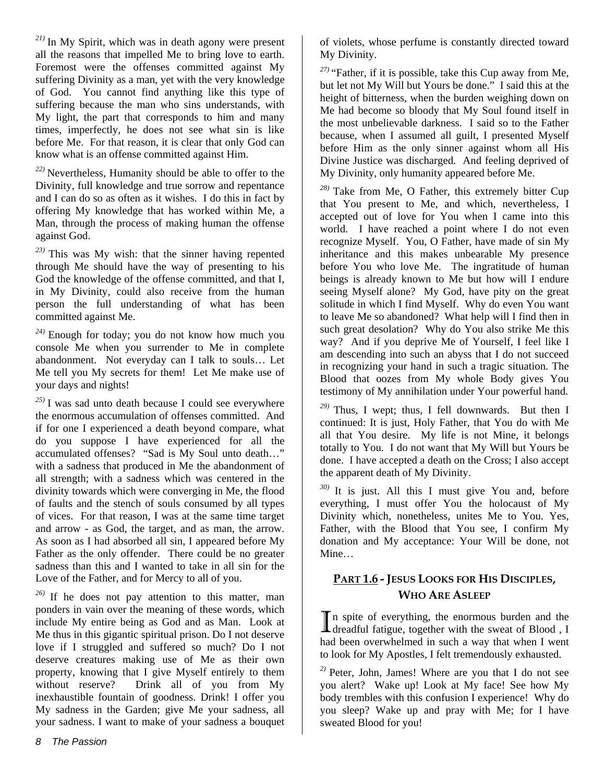*21)* In My Spirit, which was in death agony were present all the reasons that impelled Me to bring love to earth. Foremost were the offenses committed against My suffering Divinity as a man, yet with the very knowledge of God. You cannot find anything like this type of suffering because the man who sins understands, with My light, the part that corresponds to him and many times, imperfectly, he does not see what sin is like before Me. For that reason, it is clear that only God can know what is an offense committed against Him.

*22)* Nevertheless, Humanity should be able to offer to the Divinity, full knowledge and true sorrow and repentance and I can do so as often as it wishes. I do this in fact by offering My knowledge that has worked within Me, a Man, through the process of making human the offense against God.

*23)* This was My wish: that the sinner having repented through Me should have the way of presenting to his God the knowledge of the offense committed, and that I, in My Divinity, could also receive from the human person the full understanding of what has been committed against Me.

*24)* Enough for today; you do not know how much you console Me when you surrender to Me in complete abandonment. Not everyday can I talk to souls… Let Me tell you My secrets for them! Let Me make use of your days and nights!

*25)* I was sad unto death because I could see everywhere the enormous accumulation of offenses committed. And if for one I experienced a death beyond compare, what do you suppose I have experienced for all the accumulated offenses? "Sad is My Soul unto death…" with a sadness that produced in Me the abandonment of all strength; with a sadness which was centered in the divinity towards which were converging in Me, the flood of faults and the stench of souls consumed by all types of vices. For that reason, I was at the same time target and arrow - as God, the target, and as man, the arrow. As soon as I had absorbed all sin, I appeared before My Father as the only offender. There could be no greater sadness than this and I wanted to take in all sin for the Love of the Father, and for Mercy to all of you.

*26)* If he does not pay attention to this matter, man ponders in vain over the meaning of these words, which include My entire being as God and as Man. Look at Me thus in this gigantic spiritual prison. Do I not deserve love if I struggled and suffered so much? Do I not deserve creatures making use of Me as their own property, knowing that I give Myself entirely to them without reserve? Drink all of you from My inexhaustible fountain of goodness. Drink! I offer you My sadness in the Garden; give Me your sadness, all your sadness. I want to make of your sadness a bouquet

of violets, whose perfume is constantly directed toward My Divinity.

*27)* "Father, if it is possible, take this Cup away from Me, but let not My Will but Yours be done." I said this at the height of bitterness, when the burden weighing down on Me had become so bloody that My Soul found itself in the most unbelievable darkness. I said so to the Father because, when I assumed all guilt, I presented Myself before Him as the only sinner against whom all His Divine Justice was discharged. And feeling deprived of My Divinity, only humanity appeared before Me.

*28)* Take from Me, O Father, this extremely bitter Cup that You present to Me, and which, nevertheless, I accepted out of love for You when I came into this world. I have reached a point where I do not even recognize Myself. You, O Father, have made of sin My inheritance and this makes unbearable My presence before You who love Me. The ingratitude of human beings is already known to Me but how will I endure seeing Myself alone? My God, have pity on the great solitude in which I find Myself. Why do even You want to leave Me so abandoned? What help will I find then in such great desolation? Why do You also strike Me this way? And if you deprive Me of Yourself, I feel like I am descending into such an abyss that I do not succeed in recognizing your hand in such a tragic situation. The Blood that oozes from My whole Body gives You testimony of My annihilation under Your powerful hand.

*29)* Thus, I wept; thus, I fell downwards. But then I continued: It is just, Holy Father, that You do with Me all that You desire. My life is not Mine, it belongs totally to You. I do not want that My Will but Yours be done. I have accepted a death on the Cross; I also accept the apparent death of My Divinity.

*30)* It is just. All this I must give You and, before everything, I must offer You the holocaust of My Divinity which, nonetheless, unites Me to You. Yes, Father, with the Blood that You see, I confirm My donation and My acceptance: Your Will be done, not Mine…

## **PART 1.6 - JESUS LOOKS FOR HIS DISCIPLES, WHO ARE ASLEEP**

 $\mathbb T$  n spite of everything, the enormous burden and the In spite of everything, the enormous burden and the dreadful fatigue, together with the sweat of Blood , I had been overwhelmed in such a way that when I went to look for My Apostles, I felt tremendously exhausted.

*2)* Peter, John, James! Where are you that I do not see you alert? Wake up! Look at My face! See how My body trembles with this confusion I experience! Why do you sleep? Wake up and pray with Me; for I have sweated Blood for you!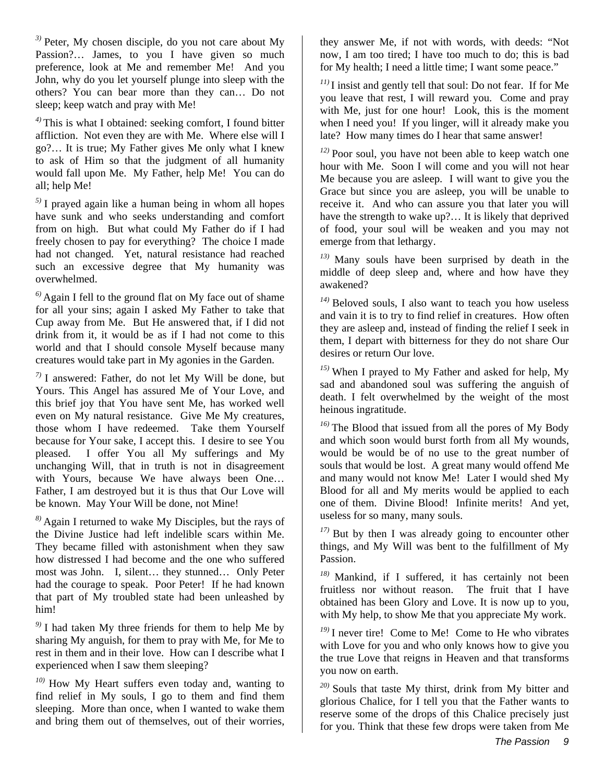*3)* Peter, My chosen disciple, do you not care about My Passion?... James, to you I have given so much preference, look at Me and remember Me! And you John, why do you let yourself plunge into sleep with the others? You can bear more than they can… Do not sleep; keep watch and pray with Me!

*4)* This is what I obtained: seeking comfort, I found bitter affliction. Not even they are with Me. Where else will I go?… It is true; My Father gives Me only what I knew to ask of Him so that the judgment of all humanity would fall upon Me. My Father, help Me! You can do all; help Me!

*5)* I prayed again like a human being in whom all hopes have sunk and who seeks understanding and comfort from on high. But what could My Father do if I had freely chosen to pay for everything? The choice I made had not changed. Yet, natural resistance had reached such an excessive degree that My humanity was overwhelmed.

*6)* Again I fell to the ground flat on My face out of shame for all your sins; again I asked My Father to take that Cup away from Me. But He answered that, if I did not drink from it, it would be as if I had not come to this world and that I should console Myself because many creatures would take part in My agonies in the Garden.

*7)* I answered: Father, do not let My Will be done, but Yours. This Angel has assured Me of Your Love, and this brief joy that You have sent Me, has worked well even on My natural resistance. Give Me My creatures, those whom I have redeemed. Take them Yourself because for Your sake, I accept this. I desire to see You pleased. I offer You all My sufferings and My unchanging Will, that in truth is not in disagreement with Yours, because We have always been One… Father, I am destroyed but it is thus that Our Love will be known. May Your Will be done, not Mine!

*8)* Again I returned to wake My Disciples, but the rays of the Divine Justice had left indelible scars within Me. They became filled with astonishment when they saw how distressed I had become and the one who suffered most was John. I, silent… they stunned… Only Peter had the courage to speak. Poor Peter! If he had known that part of My troubled state had been unleashed by him!

*9)* I had taken My three friends for them to help Me by sharing My anguish, for them to pray with Me, for Me to rest in them and in their love. How can I describe what I experienced when I saw them sleeping?

*10)* How My Heart suffers even today and, wanting to find relief in My souls, I go to them and find them sleeping. More than once, when I wanted to wake them and bring them out of themselves, out of their worries,

they answer Me, if not with words, with deeds: "Not now, I am too tired; I have too much to do; this is bad for My health; I need a little time; I want some peace."

*11)* I insist and gently tell that soul: Do not fear. If for Me you leave that rest, I will reward you. Come and pray with Me, just for one hour! Look, this is the moment when I need you! If you linger, will it already make you late? How many times do I hear that same answer!

*12)* Poor soul, you have not been able to keep watch one hour with Me. Soon I will come and you will not hear Me because you are asleep. I will want to give you the Grace but since you are asleep, you will be unable to receive it. And who can assure you that later you will have the strength to wake up?… It is likely that deprived of food, your soul will be weaken and you may not emerge from that lethargy.

*13)* Many souls have been surprised by death in the middle of deep sleep and, where and how have they awakened?

*14)* Beloved souls, I also want to teach you how useless and vain it is to try to find relief in creatures. How often they are asleep and, instead of finding the relief I seek in them, I depart with bitterness for they do not share Our desires or return Our love.

*15)* When I prayed to My Father and asked for help, My sad and abandoned soul was suffering the anguish of death. I felt overwhelmed by the weight of the most heinous ingratitude.

*16)* The Blood that issued from all the pores of My Body and which soon would burst forth from all My wounds, would be would be of no use to the great number of souls that would be lost. A great many would offend Me and many would not know Me! Later I would shed My Blood for all and My merits would be applied to each one of them. Divine Blood! Infinite merits! And yet, useless for so many, many souls.

*17)* But by then I was already going to encounter other things, and My Will was bent to the fulfillment of My Passion.

*18)* Mankind, if I suffered, it has certainly not been fruitless nor without reason. The fruit that I have obtained has been Glory and Love. It is now up to you, with My help, to show Me that you appreciate My work.

*19)* I never tire! Come to Me! Come to He who vibrates with Love for you and who only knows how to give you the true Love that reigns in Heaven and that transforms you now on earth.

*20)* Souls that taste My thirst, drink from My bitter and glorious Chalice, for I tell you that the Father wants to reserve some of the drops of this Chalice precisely just for you. Think that these few drops were taken from Me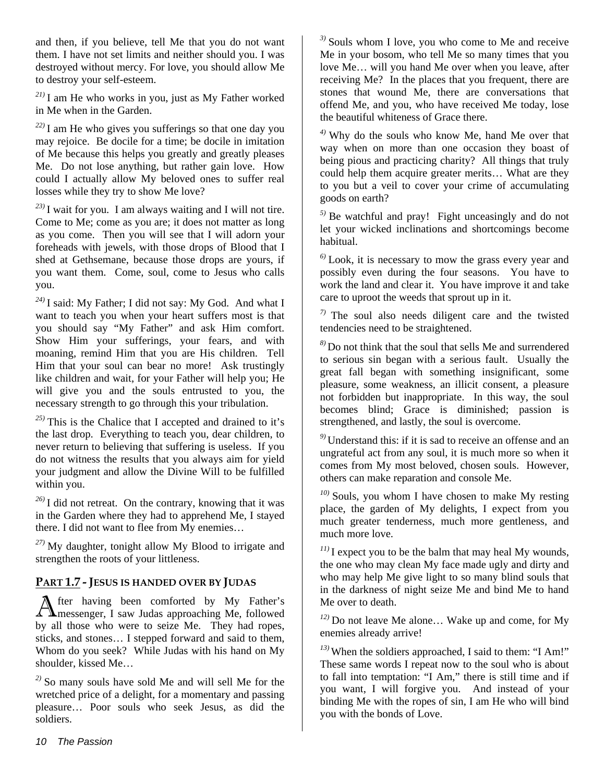and then, if you believe, tell Me that you do not want them. I have not set limits and neither should you. I was destroyed without mercy. For love, you should allow Me to destroy your self-esteem.

*21)* I am He who works in you, just as My Father worked in Me when in the Garden.

*22)* I am He who gives you sufferings so that one day you may rejoice. Be docile for a time; be docile in imitation of Me because this helps you greatly and greatly pleases Me. Do not lose anything, but rather gain love. How could I actually allow My beloved ones to suffer real losses while they try to show Me love?

*23)* I wait for you. I am always waiting and I will not tire. Come to Me; come as you are; it does not matter as long as you come. Then you will see that I will adorn your foreheads with jewels, with those drops of Blood that I shed at Gethsemane, because those drops are yours, if you want them. Come, soul, come to Jesus who calls you.

*24)* I said: My Father; I did not say: My God. And what I want to teach you when your heart suffers most is that you should say "My Father" and ask Him comfort. Show Him your sufferings, your fears, and with moaning, remind Him that you are His children. Tell Him that your soul can bear no more! Ask trustingly like children and wait, for your Father will help you; He will give you and the souls entrusted to you, the necessary strength to go through this your tribulation.

*25)* This is the Chalice that I accepted and drained to it's the last drop. Everything to teach you, dear children, to never return to believing that suffering is useless. If you do not witness the results that you always aim for yield your judgment and allow the Divine Will to be fulfilled within you.

*26)* I did not retreat. On the contrary, knowing that it was in the Garden where they had to apprehend Me, I stayed there. I did not want to flee from My enemies…

*27)* My daughter, tonight allow My Blood to irrigate and strengthen the roots of your littleness.

#### **PART 1.7 - JESUS IS HANDED OVER BY JUDAS**

fter having been comforted by My Father's After having been comforted by My Father's messenger, I saw Judas approaching Me, followed by all those who were to seize Me. They had ropes, sticks, and stones… I stepped forward and said to them, Whom do you seek? While Judas with his hand on My shoulder, kissed Me…

*2)* So many souls have sold Me and will sell Me for the wretched price of a delight, for a momentary and passing pleasure… Poor souls who seek Jesus, as did the soldiers.

*3)* Souls whom I love, you who come to Me and receive Me in your bosom, who tell Me so many times that you love Me… will you hand Me over when you leave, after receiving Me? In the places that you frequent, there are stones that wound Me, there are conversations that offend Me, and you, who have received Me today, lose the beautiful whiteness of Grace there.

*4)* Why do the souls who know Me, hand Me over that way when on more than one occasion they boast of being pious and practicing charity? All things that truly could help them acquire greater merits… What are they to you but a veil to cover your crime of accumulating goods on earth?

*5)* Be watchful and pray! Fight unceasingly and do not let your wicked inclinations and shortcomings become habitual.

*6)* Look, it is necessary to mow the grass every year and possibly even during the four seasons. You have to work the land and clear it. You have improve it and take care to uproot the weeds that sprout up in it.

*7)* The soul also needs diligent care and the twisted tendencies need to be straightened.

*8)* Do not think that the soul that sells Me and surrendered to serious sin began with a serious fault. Usually the great fall began with something insignificant, some pleasure, some weakness, an illicit consent, a pleasure not forbidden but inappropriate. In this way, the soul becomes blind; Grace is diminished; passion is strengthened, and lastly, the soul is overcome.

*9)* Understand this: if it is sad to receive an offense and an ungrateful act from any soul, it is much more so when it comes from My most beloved, chosen souls. However, others can make reparation and console Me.

*10)* Souls, you whom I have chosen to make My resting place, the garden of My delights, I expect from you much greater tenderness, much more gentleness, and much more love.

 $11$ <sup>11)</sup> I expect you to be the balm that may heal My wounds, the one who may clean My face made ugly and dirty and who may help Me give light to so many blind souls that in the darkness of night seize Me and bind Me to hand Me over to death.

*12)* Do not leave Me alone… Wake up and come, for My enemies already arrive!

*13)* When the soldiers approached, I said to them: "I Am!" These same words I repeat now to the soul who is about to fall into temptation: "I Am," there is still time and if you want, I will forgive you. And instead of your binding Me with the ropes of sin, I am He who will bind you with the bonds of Love.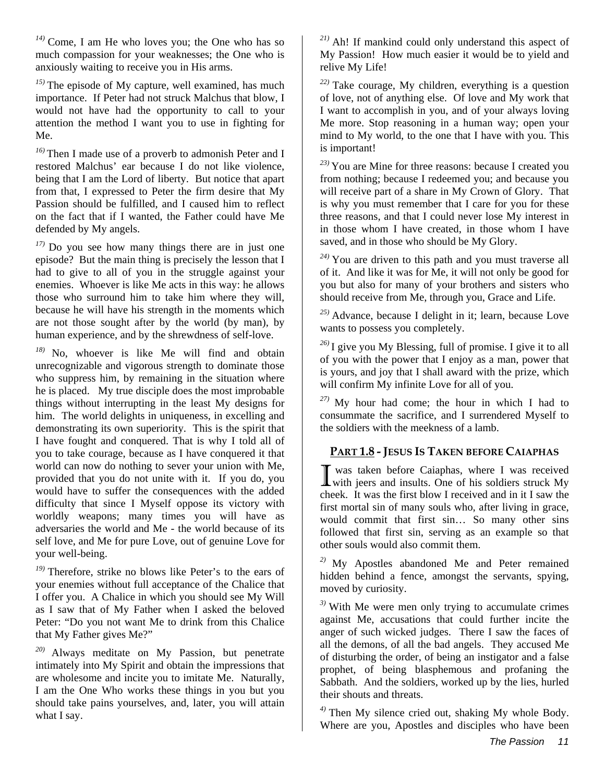*14)* Come, I am He who loves you; the One who has so much compassion for your weaknesses; the One who is anxiously waiting to receive you in His arms.

*15)* The episode of My capture, well examined, has much importance. If Peter had not struck Malchus that blow, I would not have had the opportunity to call to your attention the method I want you to use in fighting for Me.

*16)* Then I made use of a proverb to admonish Peter and I restored Malchus' ear because I do not like violence, being that I am the Lord of liberty. But notice that apart from that, I expressed to Peter the firm desire that My Passion should be fulfilled, and I caused him to reflect on the fact that if I wanted, the Father could have Me defended by My angels.

*17)* Do you see how many things there are in just one episode? But the main thing is precisely the lesson that I had to give to all of you in the struggle against your enemies. Whoever is like Me acts in this way: he allows those who surround him to take him where they will, because he will have his strength in the moments which are not those sought after by the world (by man), by human experience, and by the shrewdness of self-love.

*18)* No, whoever is like Me will find and obtain unrecognizable and vigorous strength to dominate those who suppress him, by remaining in the situation where he is placed. My true disciple does the most improbable things without interrupting in the least My designs for him. The world delights in uniqueness, in excelling and demonstrating its own superiority. This is the spirit that I have fought and conquered. That is why I told all of you to take courage, because as I have conquered it that world can now do nothing to sever your union with Me, provided that you do not unite with it. If you do, you would have to suffer the consequences with the added difficulty that since I Myself oppose its victory with worldly weapons; many times you will have as adversaries the world and Me - the world because of its self love, and Me for pure Love, out of genuine Love for your well-being.

*19)* Therefore, strike no blows like Peter's to the ears of your enemies without full acceptance of the Chalice that I offer you. A Chalice in which you should see My Will as I saw that of My Father when I asked the beloved Peter: "Do you not want Me to drink from this Chalice that My Father gives Me?"

*20)* Always meditate on My Passion, but penetrate intimately into My Spirit and obtain the impressions that are wholesome and incite you to imitate Me. Naturally, I am the One Who works these things in you but you should take pains yourselves, and, later, you will attain what I say.

*21)* Ah! If mankind could only understand this aspect of My Passion! How much easier it would be to yield and relive My Life!

*22)* Take courage, My children, everything is a question of love, not of anything else. Of love and My work that I want to accomplish in you, and of your always loving Me more. Stop reasoning in a human way; open your mind to My world, to the one that I have with you. This is important!

*23)* You are Mine for three reasons: because I created you from nothing; because I redeemed you; and because you will receive part of a share in My Crown of Glory. That is why you must remember that I care for you for these three reasons, and that I could never lose My interest in in those whom I have created, in those whom I have saved, and in those who should be My Glory.

*24)* You are driven to this path and you must traverse all of it. And like it was for Me, it will not only be good for you but also for many of your brothers and sisters who should receive from Me, through you, Grace and Life.

*25)* Advance, because I delight in it; learn, because Love wants to possess you completely.

*26)* I give you My Blessing, full of promise. I give it to all of you with the power that I enjoy as a man, power that is yours, and joy that I shall award with the prize, which will confirm My infinite Love for all of you.

*27)* My hour had come; the hour in which I had to consummate the sacrifice, and I surrendered Myself to the soldiers with the meekness of a lamb.

## **PART 1.8 - JESUS IS TAKEN BEFORE CAIAPHAS**

 was taken before Caiaphas, where I was received I was taken before Caiaphas, where I was received<br>with jeers and insults. One of his soldiers struck My cheek. It was the first blow I received and in it I saw the first mortal sin of many souls who, after living in grace, would commit that first sin… So many other sins followed that first sin, serving as an example so that other souls would also commit them.

*2)* My Apostles abandoned Me and Peter remained hidden behind a fence, amongst the servants, spying, moved by curiosity.

*3)* With Me were men only trying to accumulate crimes against Me, accusations that could further incite the anger of such wicked judges. There I saw the faces of all the demons, of all the bad angels. They accused Me of disturbing the order, of being an instigator and a false prophet, of being blasphemous and profaning the Sabbath. And the soldiers, worked up by the lies, hurled their shouts and threats.

*4)* Then My silence cried out, shaking My whole Body. Where are you, Apostles and disciples who have been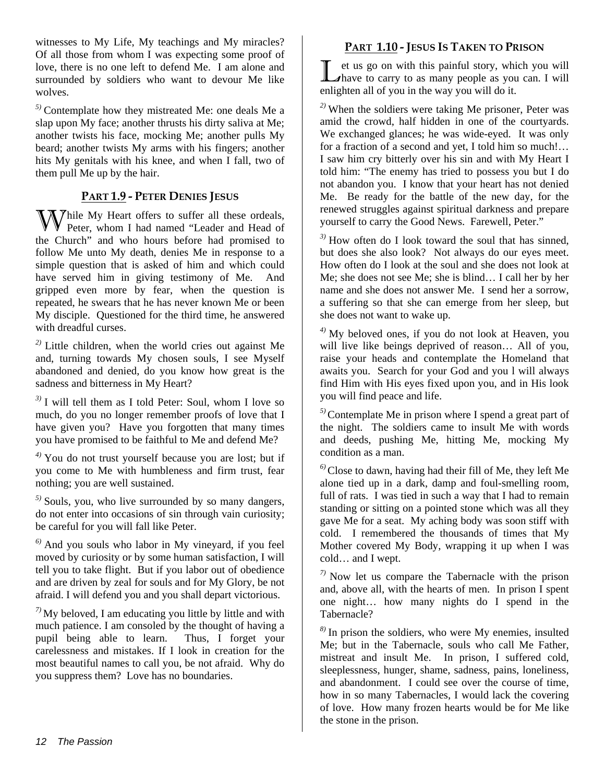witnesses to My Life, My teachings and My miracles? Of all those from whom I was expecting some proof of love, there is no one left to defend Me. I am alone and surrounded by soldiers who want to devour Me like wolves.

*5)* Contemplate how they mistreated Me: one deals Me a slap upon My face; another thrusts his dirty saliva at Me; another twists his face, mocking Me; another pulls My beard; another twists My arms with his fingers; another hits My genitals with his knee, and when I fall, two of them pull Me up by the hair.

#### **PART 1.9 - PETER DENIES JESUS**

While My Heart offers to suffer all these ordeals, Peter, whom I had named "Leader and Head of Peter, whom I had named "Leader and Head of the Church" and who hours before had promised to follow Me unto My death, denies Me in response to a simple question that is asked of him and which could have served him in giving testimony of Me. And gripped even more by fear, when the question is repeated, he swears that he has never known Me or been My disciple. Questioned for the third time, he answered with dreadful curses.

*2)* Little children, when the world cries out against Me and, turning towards My chosen souls, I see Myself abandoned and denied, do you know how great is the sadness and bitterness in My Heart?

*3)* I will tell them as I told Peter: Soul, whom I love so much, do you no longer remember proofs of love that I have given you? Have you forgotten that many times you have promised to be faithful to Me and defend Me?

*4)* You do not trust yourself because you are lost; but if you come to Me with humbleness and firm trust, fear nothing; you are well sustained.

*5)* Souls, you, who live surrounded by so many dangers, do not enter into occasions of sin through vain curiosity; be careful for you will fall like Peter.

*6)* And you souls who labor in My vineyard, if you feel moved by curiosity or by some human satisfaction, I will tell you to take flight. But if you labor out of obedience and are driven by zeal for souls and for My Glory, be not afraid. I will defend you and you shall depart victorious.

*7)* My beloved, I am educating you little by little and with much patience. I am consoled by the thought of having a pupil being able to learn. Thus, I forget your carelessness and mistakes. If I look in creation for the most beautiful names to call you, be not afraid. Why do you suppress them? Love has no boundaries.

#### **PART 1.10 - JESUS IS TAKEN TO PRISON**

et us go on with this painful story, which you will I et us go on with this painful story, which you will thave to carry to as many people as you can. I will enlighten all of you in the way you will do it.

*2)* When the soldiers were taking Me prisoner, Peter was amid the crowd, half hidden in one of the courtyards. We exchanged glances; he was wide-eyed. It was only for a fraction of a second and yet, I told him so much!… I saw him cry bitterly over his sin and with My Heart I told him: "The enemy has tried to possess you but I do not abandon you. I know that your heart has not denied Me. Be ready for the battle of the new day, for the renewed struggles against spiritual darkness and prepare yourself to carry the Good News. Farewell, Peter."

*3)* How often do I look toward the soul that has sinned, but does she also look? Not always do our eyes meet. How often do I look at the soul and she does not look at Me; she does not see Me; she is blind… I call her by her name and she does not answer Me. I send her a sorrow, a suffering so that she can emerge from her sleep, but she does not want to wake up.

*4)* My beloved ones, if you do not look at Heaven, you will live like beings deprived of reason… All of you, raise your heads and contemplate the Homeland that awaits you. Search for your God and you l will always find Him with His eyes fixed upon you, and in His look you will find peace and life.

*5)*Contemplate Me in prison where I spend a great part of the night. The soldiers came to insult Me with words and deeds, pushing Me, hitting Me, mocking My condition as a man.

*6)*Close to dawn, having had their fill of Me, they left Me alone tied up in a dark, damp and foul-smelling room, full of rats. I was tied in such a way that I had to remain standing or sitting on a pointed stone which was all they gave Me for a seat. My aching body was soon stiff with cold. I remembered the thousands of times that My Mother covered My Body, wrapping it up when I was cold… and I wept.

*7)* Now let us compare the Tabernacle with the prison and, above all, with the hearts of men. In prison I spent one night… how many nights do I spend in the Tabernacle?

*8)* In prison the soldiers, who were My enemies, insulted Me; but in the Tabernacle, souls who call Me Father, mistreat and insult Me. In prison, I suffered cold, sleeplessness, hunger, shame, sadness, pains, loneliness, and abandonment. I could see over the course of time, how in so many Tabernacles, I would lack the covering of love. How many frozen hearts would be for Me like the stone in the prison.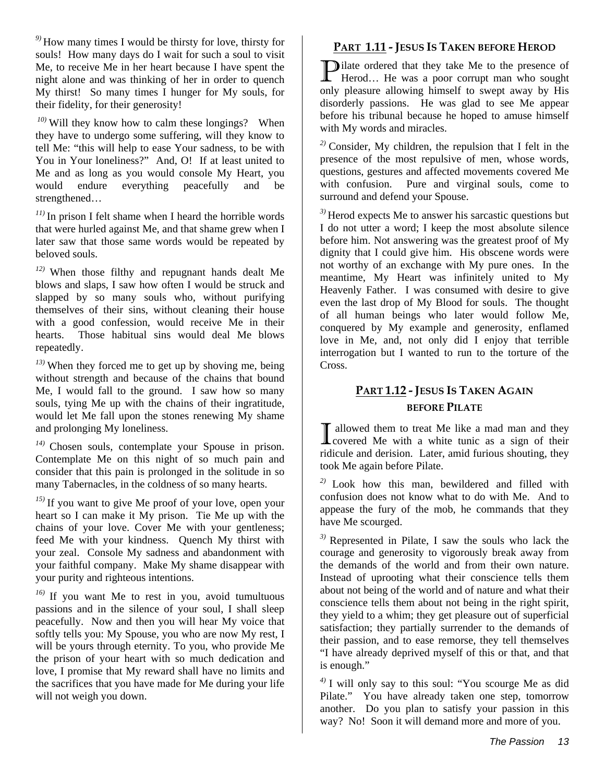*9)* How many times I would be thirsty for love, thirsty for souls! How many days do I wait for such a soul to visit Me, to receive Me in her heart because I have spent the night alone and was thinking of her in order to quench My thirst! So many times I hunger for My souls, for their fidelity, for their generosity!

*10)* Will they know how to calm these longings?When they have to undergo some suffering, will they know to tell Me: "this will help to ease Your sadness, to be with You in Your loneliness?" And, O! If at least united to Me and as long as you would console My Heart, you would endure everything peacefully and be strengthened…

*11)* In prison I felt shame when I heard the horrible words that were hurled against Me, and that shame grew when I later saw that those same words would be repeated by beloved souls.

*12)* When those filthy and repugnant hands dealt Me blows and slaps, I saw how often I would be struck and slapped by so many souls who, without purifying themselves of their sins, without cleaning their house with a good confession, would receive Me in their hearts. Those habitual sins would deal Me blows repeatedly.

*13)* When they forced me to get up by shoving me, being without strength and because of the chains that bound Me, I would fall to the ground. I saw how so many souls, tying Me up with the chains of their ingratitude, would let Me fall upon the stones renewing My shame and prolonging My loneliness.

*14)* Chosen souls, contemplate your Spouse in prison. Contemplate Me on this night of so much pain and consider that this pain is prolonged in the solitude in so many Tabernacles, in the coldness of so many hearts.

*15)* If you want to give Me proof of your love, open your heart so I can make it My prison. Tie Me up with the chains of your love. Cover Me with your gentleness; feed Me with your kindness. Quench My thirst with your zeal. Console My sadness and abandonment with your faithful company. Make My shame disappear with your purity and righteous intentions.

*16)* If you want Me to rest in you, avoid tumultuous passions and in the silence of your soul, I shall sleep peacefully. Now and then you will hear My voice that softly tells you: My Spouse, you who are now My rest, I will be yours through eternity. To you, who provide Me the prison of your heart with so much dedication and love, I promise that My reward shall have no limits and the sacrifices that you have made for Me during your life will not weigh you down.

#### **PART 1.11 - JESUS IS TAKEN BEFORE HEROD**

ilate ordered that they take Me to the presence of **P**ilate ordered that they take Me to the presence of Herod... He was a poor corrupt man who sought only pleasure allowing himself to swept away by His disorderly passions. He was glad to see Me appear before his tribunal because he hoped to amuse himself with My words and miracles.

*2)* Consider, My children, the repulsion that I felt in the presence of the most repulsive of men, whose words, questions, gestures and affected movements covered Me with confusion. Pure and virginal souls, come to surround and defend your Spouse.

*3)* Herod expects Me to answer his sarcastic questions but I do not utter a word; I keep the most absolute silence before him. Not answering was the greatest proof of My dignity that I could give him. His obscene words were not worthy of an exchange with My pure ones. In the meantime, My Heart was infinitely united to My Heavenly Father. I was consumed with desire to give even the last drop of My Blood for souls. The thought of all human beings who later would follow Me, conquered by My example and generosity, enflamed love in Me, and, not only did I enjoy that terrible interrogation but I wanted to run to the torture of the Cross.

#### **PART 1.12 - JESUS IS TAKEN AGAIN BEFORE PILATE**

allowed them to treat Me like a mad man and they I allowed them to treat Me like a mad man and they<br>covered Me with a white tunic as a sign of their ridicule and derision. Later, amid furious shouting, they took Me again before Pilate.

*2)* Look how this man, bewildered and filled with confusion does not know what to do with Me. And to appease the fury of the mob, he commands that they have Me scourged.

*3)* Represented in Pilate, I saw the souls who lack the courage and generosity to vigorously break away from the demands of the world and from their own nature. Instead of uprooting what their conscience tells them about not being of the world and of nature and what their conscience tells them about not being in the right spirit, they yield to a whim; they get pleasure out of superficial satisfaction; they partially surrender to the demands of their passion, and to ease remorse, they tell themselves "I have already deprived myself of this or that, and that is enough."

*4)* I will only say to this soul: "You scourge Me as did Pilate." You have already taken one step, tomorrow another. Do you plan to satisfy your passion in this way? No! Soon it will demand more and more of you.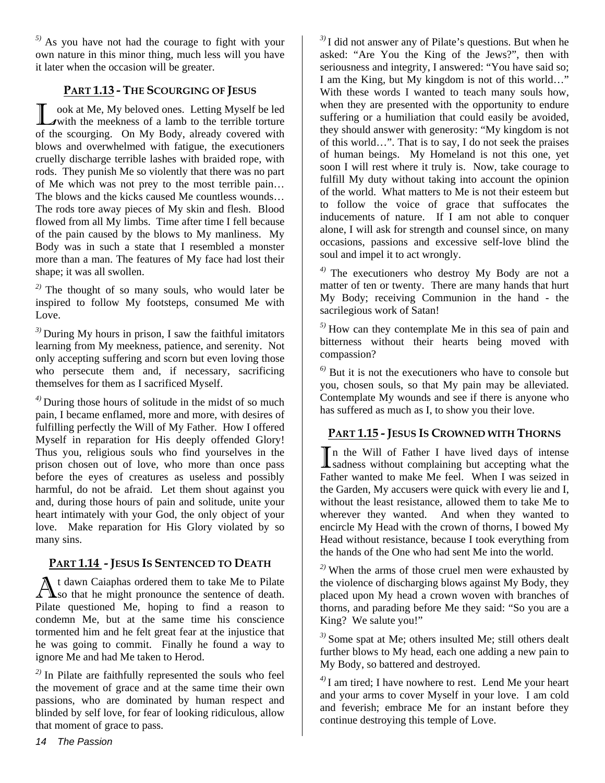*5)* As you have not had the courage to fight with your own nature in this minor thing, much less will you have it later when the occasion will be greater.

### **PART 1.13 - THE SCOURGING OF JESUS**

ook at Me, My beloved ones. Letting Myself be led **T** ook at Me, My beloved ones. Letting Myself be led with the meekness of a lamb to the terrible torture of the scourging. On My Body, already covered with blows and overwhelmed with fatigue, the executioners cruelly discharge terrible lashes with braided rope, with rods. They punish Me so violently that there was no part of Me which was not prey to the most terrible pain… The blows and the kicks caused Me countless wounds… The rods tore away pieces of My skin and flesh. Blood flowed from all My limbs. Time after time I fell because of the pain caused by the blows to My manliness. My Body was in such a state that I resembled a monster more than a man. The features of My face had lost their shape; it was all swollen.

*2)* The thought of so many souls, who would later be inspired to follow My footsteps, consumed Me with Love.

*3)* During My hours in prison, I saw the faithful imitators learning from My meekness, patience, and serenity. Not only accepting suffering and scorn but even loving those who persecute them and, if necessary, sacrificing themselves for them as I sacrificed Myself.

*4)* During those hours of solitude in the midst of so much pain, I became enflamed, more and more, with desires of fulfilling perfectly the Will of My Father. How I offered Myself in reparation for His deeply offended Glory! Thus you, religious souls who find yourselves in the prison chosen out of love, who more than once pass before the eyes of creatures as useless and possibly harmful, do not be afraid. Let them shout against you and, during those hours of pain and solitude, unite your heart intimately with your God, the only object of your love. Make reparation for His Glory violated by so many sins.

#### **PART 1.14 - JESUS IS SENTENCED TO DEATH**

t dawn Caiaphas ordered them to take Me to Pilate At dawn Caiaphas ordered them to take Me to Pilate<br>
So that he might pronounce the sentence of death. Pilate questioned Me, hoping to find a reason to condemn Me, but at the same time his conscience tormented him and he felt great fear at the injustice that he was going to commit. Finally he found a way to ignore Me and had Me taken to Herod.

*2)* In Pilate are faithfully represented the souls who feel the movement of grace and at the same time their own passions, who are dominated by human respect and blinded by self love, for fear of looking ridiculous, allow that moment of grace to pass.

*3)* I did not answer any of Pilate's questions. But when he asked: "Are You the King of the Jews?", then with seriousness and integrity, I answered: "You have said so; I am the King, but My kingdom is not of this world…" With these words I wanted to teach many souls how, when they are presented with the opportunity to endure suffering or a humiliation that could easily be avoided, they should answer with generosity: "My kingdom is not of this world…". That is to say, I do not seek the praises of human beings. My Homeland is not this one, yet soon I will rest where it truly is. Now, take courage to fulfill My duty without taking into account the opinion of the world. What matters to Me is not their esteem but to follow the voice of grace that suffocates the inducements of nature. If I am not able to conquer alone, I will ask for strength and counsel since, on many occasions, passions and excessive self-love blind the soul and impel it to act wrongly.

*4)* The executioners who destroy My Body are not a matter of ten or twenty. There are many hands that hurt My Body; receiving Communion in the hand - the sacrilegious work of Satan!

*5)* How can they contemplate Me in this sea of pain and bitterness without their hearts being moved with compassion?

*6)* But it is not the executioners who have to console but you, chosen souls, so that My pain may be alleviated. Contemplate My wounds and see if there is anyone who has suffered as much as I, to show you their love.

#### **PART 1.15 - JESUS IS CROWNED WITH THORNS**

In the Will of Father I have lived days of intense In the Will of Father I have lived days of intense<br>
I sadness without complaining but accepting what the Father wanted to make Me feel. When I was seized in the Garden, My accusers were quick with every lie and I, without the least resistance, allowed them to take Me to wherever they wanted. And when they wanted to encircle My Head with the crown of thorns, I bowed My Head without resistance, because I took everything from the hands of the One who had sent Me into the world.

*2)* When the arms of those cruel men were exhausted by the violence of discharging blows against My Body, they placed upon My head a crown woven with branches of thorns, and parading before Me they said: "So you are a King? We salute you!"

*3)* Some spat at Me; others insulted Me; still others dealt further blows to My head, each one adding a new pain to My Body, so battered and destroyed.

*4)* I am tired; I have nowhere to rest. Lend Me your heart and your arms to cover Myself in your love. I am cold and feverish; embrace Me for an instant before they continue destroying this temple of Love.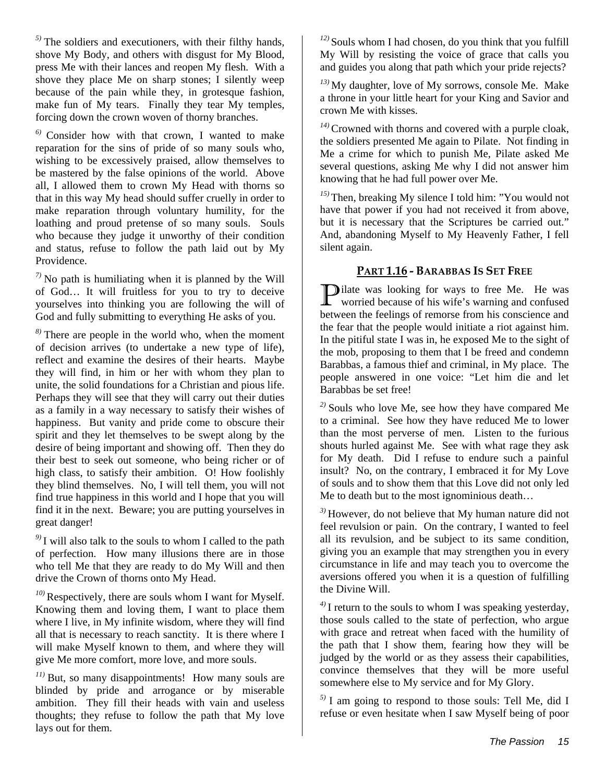*5)* The soldiers and executioners, with their filthy hands, shove My Body, and others with disgust for My Blood, press Me with their lances and reopen My flesh. With a shove they place Me on sharp stones; I silently weep because of the pain while they, in grotesque fashion, make fun of My tears. Finally they tear My temples, forcing down the crown woven of thorny branches.

*6)* Consider how with that crown, I wanted to make reparation for the sins of pride of so many souls who, wishing to be excessively praised, allow themselves to be mastered by the false opinions of the world. Above all, I allowed them to crown My Head with thorns so that in this way My head should suffer cruelly in order to make reparation through voluntary humility, for the loathing and proud pretense of so many souls. Souls who because they judge it unworthy of their condition and status, refuse to follow the path laid out by My Providence.

*7)* No path is humiliating when it is planned by the Will of God… It will fruitless for you to try to deceive yourselves into thinking you are following the will of God and fully submitting to everything He asks of you.

*8)* There are people in the world who, when the moment of decision arrives (to undertake a new type of life), reflect and examine the desires of their hearts. Maybe they will find, in him or her with whom they plan to unite, the solid foundations for a Christian and pious life. Perhaps they will see that they will carry out their duties as a family in a way necessary to satisfy their wishes of happiness. But vanity and pride come to obscure their spirit and they let themselves to be swept along by the desire of being important and showing off. Then they do their best to seek out someone, who being richer or of high class, to satisfy their ambition. O! How foolishly they blind themselves. No, I will tell them, you will not find true happiness in this world and I hope that you will find it in the next. Beware; you are putting yourselves in great danger!

*9)* I will also talk to the souls to whom I called to the path of perfection. How many illusions there are in those who tell Me that they are ready to do My Will and then drive the Crown of thorns onto My Head.

*10)* Respectively, there are souls whom I want for Myself. Knowing them and loving them, I want to place them where I live, in My infinite wisdom, where they will find all that is necessary to reach sanctity. It is there where I will make Myself known to them, and where they will give Me more comfort, more love, and more souls.

*11)* But, so many disappointments! How many souls are blinded by pride and arrogance or by miserable ambition. They fill their heads with vain and useless thoughts; they refuse to follow the path that My love lays out for them.

*12)* Souls whom I had chosen, do you think that you fulfill My Will by resisting the voice of grace that calls you and guides you along that path which your pride rejects?

*13)* My daughter, love of My sorrows, console Me. Make a throne in your little heart for your King and Savior and crown Me with kisses.

*14)* Crowned with thorns and covered with a purple cloak, the soldiers presented Me again to Pilate. Not finding in Me a crime for which to punish Me, Pilate asked Me several questions, asking Me why I did not answer him knowing that he had full power over Me.

*15)* Then, breaking My silence I told him: "You would not have that power if you had not received it from above, but it is necessary that the Scriptures be carried out." And, abandoning Myself to My Heavenly Father, I fell silent again.

#### **PART 1.16 - BARABBAS IS SET FREE**

**D**ilate was looking for ways to free Me. He was worried because of his wife's warning and confused worried because of his wife's warning and confused between the feelings of remorse from his conscience and the fear that the people would initiate a riot against him. In the pitiful state I was in, he exposed Me to the sight of the mob, proposing to them that I be freed and condemn Barabbas, a famous thief and criminal, in My place. The people answered in one voice: "Let him die and let Barabbas be set free!

*2)* Souls who love Me, see how they have compared Me to a criminal. See how they have reduced Me to lower than the most perverse of men. Listen to the furious shouts hurled against Me. See with what rage they ask for My death. Did I refuse to endure such a painful insult? No, on the contrary, I embraced it for My Love of souls and to show them that this Love did not only led Me to death but to the most ignominious death…

*3)* However, do not believe that My human nature did not feel revulsion or pain. On the contrary, I wanted to feel all its revulsion, and be subject to its same condition, giving you an example that may strengthen you in every circumstance in life and may teach you to overcome the aversions offered you when it is a question of fulfilling the Divine Will.

*4)* I return to the souls to whom I was speaking yesterday, those souls called to the state of perfection, who argue with grace and retreat when faced with the humility of the path that I show them, fearing how they will be judged by the world or as they assess their capabilities, convince themselves that they will be more useful somewhere else to My service and for My Glory.

*5)* I am going to respond to those souls: Tell Me, did I refuse or even hesitate when I saw Myself being of poor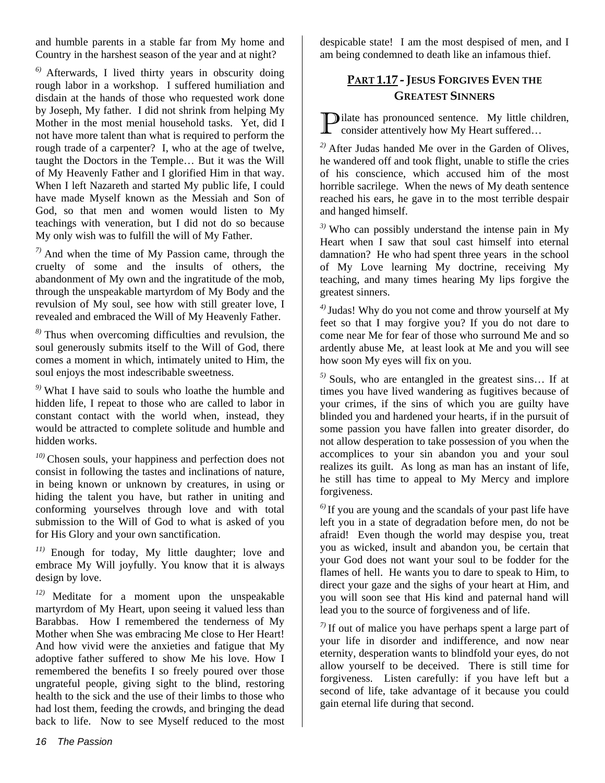and humble parents in a stable far from My home and Country in the harshest season of the year and at night?

*6)* Afterwards, I lived thirty years in obscurity doing rough labor in a workshop. I suffered humiliation and disdain at the hands of those who requested work done by Joseph, My father. I did not shrink from helping My Mother in the most menial household tasks. Yet, did I not have more talent than what is required to perform the rough trade of a carpenter? I, who at the age of twelve, taught the Doctors in the Temple… But it was the Will of My Heavenly Father and I glorified Him in that way. When I left Nazareth and started My public life, I could have made Myself known as the Messiah and Son of God, so that men and women would listen to My teachings with veneration, but I did not do so because My only wish was to fulfill the will of My Father.

*7)* And when the time of My Passion came, through the cruelty of some and the insults of others, the abandonment of My own and the ingratitude of the mob, through the unspeakable martyrdom of My Body and the revulsion of My soul, see how with still greater love, I revealed and embraced the Will of My Heavenly Father.

*8)* Thus when overcoming difficulties and revulsion, the soul generously submits itself to the Will of God, there comes a moment in which, intimately united to Him, the soul enjoys the most indescribable sweetness.

*9)* What I have said to souls who loathe the humble and hidden life, I repeat to those who are called to labor in constant contact with the world when, instead, they would be attracted to complete solitude and humble and hidden works.

*10)* Chosen souls, your happiness and perfection does not consist in following the tastes and inclinations of nature, in being known or unknown by creatures, in using or hiding the talent you have, but rather in uniting and conforming yourselves through love and with total submission to the Will of God to what is asked of you for His Glory and your own sanctification.

*11)* Enough for today, My little daughter; love and embrace My Will joyfully. You know that it is always design by love.

*12)* Meditate for a moment upon the unspeakable martyrdom of My Heart, upon seeing it valued less than Barabbas. How I remembered the tenderness of My Mother when She was embracing Me close to Her Heart! And how vivid were the anxieties and fatigue that My adoptive father suffered to show Me his love. How I remembered the benefits I so freely poured over those ungrateful people, giving sight to the blind, restoring health to the sick and the use of their limbs to those who had lost them, feeding the crowds, and bringing the dead back to life. Now to see Myself reduced to the most

despicable state! I am the most despised of men, and I am being condemned to death like an infamous thief.

### **PART 1.17 - JESUS FORGIVES EVEN THE GREATEST SINNERS**

liate has pronounced sentence. My little children, **P**ilate has pronounced sentence. My little chi consider attentively how My Heart suffered...

*2)* After Judas handed Me over in the Garden of Olives, he wandered off and took flight, unable to stifle the cries of his conscience, which accused him of the most horrible sacrilege. When the news of My death sentence reached his ears, he gave in to the most terrible despair and hanged himself.

*3)* Who can possibly understand the intense pain in My Heart when I saw that soul cast himself into eternal damnation? He who had spent three years in the school of My Love learning My doctrine, receiving My teaching, and many times hearing My lips forgive the greatest sinners.

*4)*Judas! Why do you not come and throw yourself at My feet so that I may forgive you? If you do not dare to come near Me for fear of those who surround Me and so ardently abuse Me, at least look at Me and you will see how soon My eyes will fix on you.

*5)* Souls, who are entangled in the greatest sins… If at times you have lived wandering as fugitives because of your crimes, if the sins of which you are guilty have blinded you and hardened your hearts, if in the pursuit of some passion you have fallen into greater disorder, do not allow desperation to take possession of you when the accomplices to your sin abandon you and your soul realizes its guilt. As long as man has an instant of life, he still has time to appeal to My Mercy and implore forgiveness.

*6)* If you are young and the scandals of your past life have left you in a state of degradation before men, do not be afraid! Even though the world may despise you, treat you as wicked, insult and abandon you, be certain that your God does not want your soul to be fodder for the flames of hell. He wants you to dare to speak to Him, to direct your gaze and the sighs of your heart at Him, and you will soon see that His kind and paternal hand will lead you to the source of forgiveness and of life.

*7)* If out of malice you have perhaps spent a large part of your life in disorder and indifference, and now near eternity, desperation wants to blindfold your eyes, do not allow yourself to be deceived. There is still time for forgiveness. Listen carefully: if you have left but a second of life, take advantage of it because you could gain eternal life during that second.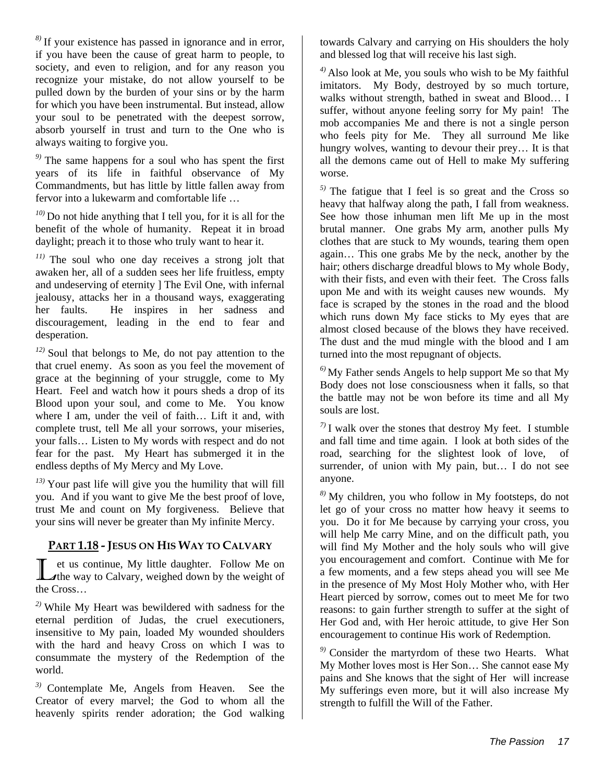*8)* If your existence has passed in ignorance and in error, if you have been the cause of great harm to people, to society, and even to religion, and for any reason you recognize your mistake, do not allow yourself to be pulled down by the burden of your sins or by the harm for which you have been instrumental. But instead, allow your soul to be penetrated with the deepest sorrow, absorb yourself in trust and turn to the One who is always waiting to forgive you.

*9)* The same happens for a soul who has spent the first years of its life in faithful observance of My Commandments, but has little by little fallen away from fervor into a lukewarm and comfortable life …

*10)* Do not hide anything that I tell you, for it is all for the benefit of the whole of humanity. Repeat it in broad daylight; preach it to those who truly want to hear it.

*11)* The soul who one day receives a strong jolt that awaken her, all of a sudden sees her life fruitless, empty and undeserving of eternity ] The Evil One, with infernal jealousy, attacks her in a thousand ways, exaggerating her faults. He inspires in her sadness and discouragement, leading in the end to fear and desperation.

*12)* Soul that belongs to Me, do not pay attention to the that cruel enemy. As soon as you feel the movement of grace at the beginning of your struggle, come to My Heart. Feel and watch how it pours sheds a drop of its Blood upon your soul, and come to Me. You know where I am, under the veil of faith… Lift it and, with complete trust, tell Me all your sorrows, your miseries, your falls… Listen to My words with respect and do not fear for the past. My Heart has submerged it in the endless depths of My Mercy and My Love.

*13)* Your past life will give you the humility that will fill you. And if you want to give Me the best proof of love, trust Me and count on My forgiveness. Believe that your sins will never be greater than My infinite Mercy.

#### **PART 1.18 - JESUS ON HIS WAY TO CALVARY**

et us continue, My little daughter. Follow Me on If the way to Calvary, weighed down by the weight of the Cross…

*2)* While My Heart was bewildered with sadness for the eternal perdition of Judas, the cruel executioners, insensitive to My pain, loaded My wounded shoulders with the hard and heavy Cross on which I was to consummate the mystery of the Redemption of the world.

*3)* Contemplate Me, Angels from Heaven. See the Creator of every marvel; the God to whom all the heavenly spirits render adoration; the God walking towards Calvary and carrying on His shoulders the holy and blessed log that will receive his last sigh.

*4)* Also look at Me, you souls who wish to be My faithful imitators. My Body, destroyed by so much torture, walks without strength, bathed in sweat and Blood… I suffer, without anyone feeling sorry for My pain! The mob accompanies Me and there is not a single person who feels pity for Me. They all surround Me like hungry wolves, wanting to devour their prey… It is that all the demons came out of Hell to make My suffering worse.

*5)* The fatigue that I feel is so great and the Cross so heavy that halfway along the path, I fall from weakness. See how those inhuman men lift Me up in the most brutal manner. One grabs My arm, another pulls My clothes that are stuck to My wounds, tearing them open again… This one grabs Me by the neck, another by the hair; others discharge dreadful blows to My whole Body, with their fists, and even with their feet. The Cross falls upon Me and with its weight causes new wounds. My face is scraped by the stones in the road and the blood which runs down My face sticks to My eyes that are almost closed because of the blows they have received. The dust and the mud mingle with the blood and I am turned into the most repugnant of objects.

*6)* My Father sends Angels to help support Me so that My Body does not lose consciousness when it falls, so that the battle may not be won before its time and all My souls are lost.

*7)* I walk over the stones that destroy My feet. I stumble and fall time and time again. I look at both sides of the road, searching for the slightest look of love, of surrender, of union with My pain, but… I do not see anyone.

*8)* My children, you who follow in My footsteps, do not let go of your cross no matter how heavy it seems to you. Do it for Me because by carrying your cross, you will help Me carry Mine, and on the difficult path, you will find My Mother and the holy souls who will give you encouragement and comfort. Continue with Me for a few moments, and a few steps ahead you will see Me in the presence of My Most Holy Mother who, with Her Heart pierced by sorrow, comes out to meet Me for two reasons: to gain further strength to suffer at the sight of Her God and, with Her heroic attitude, to give Her Son encouragement to continue His work of Redemption.

*9)* Consider the martyrdom of these two Hearts. What My Mother loves most is Her Son… She cannot ease My pains and She knows that the sight of Her will increase My sufferings even more, but it will also increase My strength to fulfill the Will of the Father.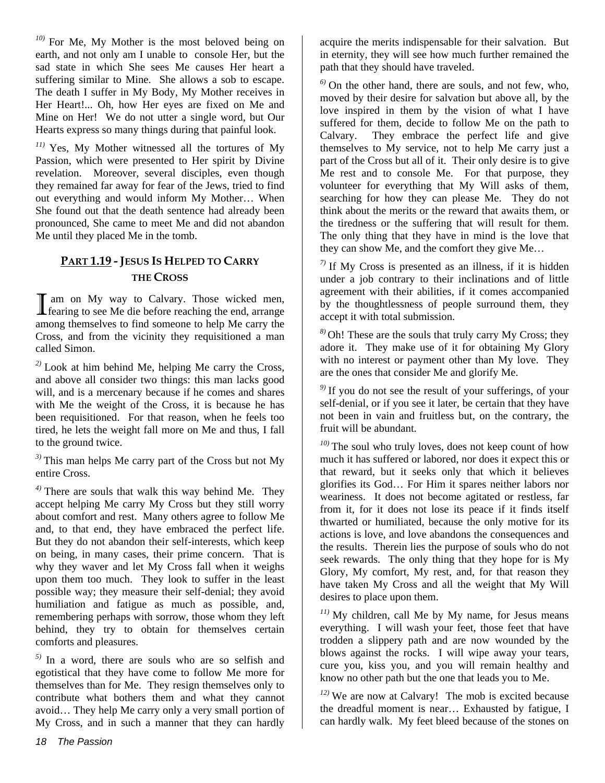*10)* For Me, My Mother is the most beloved being on earth, and not only am I unable to console Her, but the sad state in which She sees Me causes Her heart a suffering similar to Mine. She allows a sob to escape. The death I suffer in My Body, My Mother receives in Her Heart!... Oh, how Her eyes are fixed on Me and Mine on Her! We do not utter a single word, but Our Hearts express so many things during that painful look.

*11)* Yes, My Mother witnessed all the tortures of My Passion, which were presented to Her spirit by Divine revelation. Moreover, several disciples, even though they remained far away for fear of the Jews, tried to find out everything and would inform My Mother… When She found out that the death sentence had already been pronounced, She came to meet Me and did not abandon Me until they placed Me in the tomb.

## **PART 1.19 - JESUS IS HELPED TO CARRY THE CROSS**

 am on My way to Calvary. Those wicked men, I am on My way to Calvary. Those wicked men, fearing to see Me die before reaching the end, arrange among themselves to find someone to help Me carry the Cross, and from the vicinity they requisitioned a man called Simon.

*2)* Look at him behind Me, helping Me carry the Cross, and above all consider two things: this man lacks good will, and is a mercenary because if he comes and shares with Me the weight of the Cross, it is because he has been requisitioned. For that reason, when he feels too tired, he lets the weight fall more on Me and thus, I fall to the ground twice.

*3)* This man helps Me carry part of the Cross but not My entire Cross.

*4)* There are souls that walk this way behind Me. They accept helping Me carry My Cross but they still worry about comfort and rest. Many others agree to follow Me and, to that end, they have embraced the perfect life. But they do not abandon their self-interests, which keep on being, in many cases, their prime concern. That is why they waver and let My Cross fall when it weighs upon them too much. They look to suffer in the least possible way; they measure their self-denial; they avoid humiliation and fatigue as much as possible, and, remembering perhaps with sorrow, those whom they left behind, they try to obtain for themselves certain comforts and pleasures.

*5)* In a word, there are souls who are so selfish and egotistical that they have come to follow Me more for themselves than for Me. They resign themselves only to contribute what bothers them and what they cannot avoid… They help Me carry only a very small portion of My Cross, and in such a manner that they can hardly

acquire the merits indispensable for their salvation. But in eternity, they will see how much further remained the path that they should have traveled.

*6)* On the other hand, there are souls, and not few, who, moved by their desire for salvation but above all, by the love inspired in them by the vision of what I have suffered for them, decide to follow Me on the path to Calvary. They embrace the perfect life and give themselves to My service, not to help Me carry just a part of the Cross but all of it. Their only desire is to give Me rest and to console Me. For that purpose, they volunteer for everything that My Will asks of them, searching for how they can please Me. They do not think about the merits or the reward that awaits them, or the tiredness or the suffering that will result for them. The only thing that they have in mind is the love that they can show Me, and the comfort they give Me…

 $7$ <sup>)</sup> If My Cross is presented as an illness, if it is hidden under a job contrary to their inclinations and of little agreement with their abilities, if it comes accompanied by the thoughtlessness of people surround them, they accept it with total submission.

*8)* Oh! These are the souls that truly carry My Cross; they adore it. They make use of it for obtaining My Glory with no interest or payment other than My love. They are the ones that consider Me and glorify Me.

*9)* If you do not see the result of your sufferings, of your self-denial, or if you see it later, be certain that they have not been in vain and fruitless but, on the contrary, the fruit will be abundant.

*10)* The soul who truly loves, does not keep count of how much it has suffered or labored, nor does it expect this or that reward, but it seeks only that which it believes glorifies its God… For Him it spares neither labors nor weariness. It does not become agitated or restless, far from it, for it does not lose its peace if it finds itself thwarted or humiliated, because the only motive for its actions is love, and love abandons the consequences and the results. Therein lies the purpose of souls who do not seek rewards. The only thing that they hope for is My Glory, My comfort, My rest, and, for that reason they have taken My Cross and all the weight that My Will desires to place upon them.

*11)* My children, call Me by My name, for Jesus means everything. I will wash your feet, those feet that have trodden a slippery path and are now wounded by the blows against the rocks. I will wipe away your tears, cure you, kiss you, and you will remain healthy and know no other path but the one that leads you to Me.

*12)* We are now at Calvary! The mob is excited because the dreadful moment is near… Exhausted by fatigue, I can hardly walk. My feet bleed because of the stones on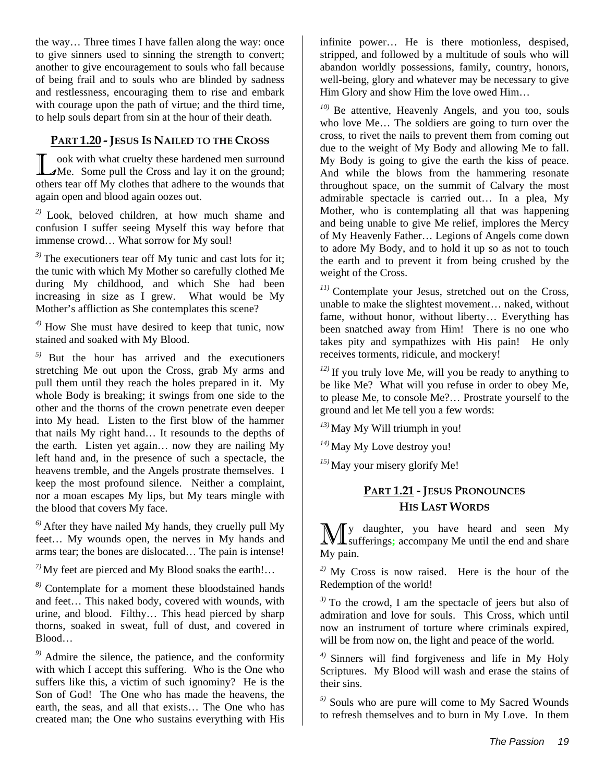the way… Three times I have fallen along the way: once to give sinners used to sinning the strength to convert; another to give encouragement to souls who fall because of being frail and to souls who are blinded by sadness and restlessness, encouraging them to rise and embark with courage upon the path of virtue; and the third time, to help souls depart from sin at the hour of their death.

#### **PART 1.20 - JESUS IS NAILED TO THE CROSS**

ook with what cruelty these hardened men surround **The Cross and Law is the Some pull the Cross and lay it on the ground;** others tear off My clothes that adhere to the wounds that again open and blood again oozes out.

*2)* Look, beloved children, at how much shame and confusion I suffer seeing Myself this way before that immense crowd… What sorrow for My soul!

*3)* The executioners tear off My tunic and cast lots for it; the tunic with which My Mother so carefully clothed Me during My childhood, and which She had been increasing in size as I grew. What would be My Mother's affliction as She contemplates this scene?

*4)* How She must have desired to keep that tunic, now stained and soaked with My Blood.

*5)* But the hour has arrived and the executioners stretching Me out upon the Cross, grab My arms and pull them until they reach the holes prepared in it. My whole Body is breaking; it swings from one side to the other and the thorns of the crown penetrate even deeper into My head. Listen to the first blow of the hammer that nails My right hand… It resounds to the depths of the earth. Listen yet again… now they are nailing My left hand and, in the presence of such a spectacle, the heavens tremble, and the Angels prostrate themselves. I keep the most profound silence. Neither a complaint, nor a moan escapes My lips, but My tears mingle with the blood that covers My face.

*6)* After they have nailed My hands, they cruelly pull My feet… My wounds open, the nerves in My hands and arms tear; the bones are dislocated… The pain is intense!

*7)* My feet are pierced and My Blood soaks the earth!…

*8)* Contemplate for a moment these bloodstained hands and feet… This naked body, covered with wounds, with urine, and blood. Filthy… This head pierced by sharp thorns, soaked in sweat, full of dust, and covered in Blood…

*9)* Admire the silence, the patience, and the conformity with which I accept this suffering. Who is the One who suffers like this, a victim of such ignominy? He is the Son of God! The One who has made the heavens, the earth, the seas, and all that exists… The One who has created man; the One who sustains everything with His

infinite power… He is there motionless, despised, stripped, and followed by a multitude of souls who will abandon worldly possessions, family, country, honors, well-being, glory and whatever may be necessary to give Him Glory and show Him the love owed Him…

*10)* Be attentive, Heavenly Angels, and you too, souls who love Me… The soldiers are going to turn over the cross, to rivet the nails to prevent them from coming out due to the weight of My Body and allowing Me to fall. My Body is going to give the earth the kiss of peace. And while the blows from the hammering resonate throughout space, on the summit of Calvary the most admirable spectacle is carried out… In a plea, My Mother, who is contemplating all that was happening and being unable to give Me relief, implores the Mercy of My Heavenly Father… Legions of Angels come down to adore My Body, and to hold it up so as not to touch the earth and to prevent it from being crushed by the weight of the Cross.

*11)* Contemplate your Jesus, stretched out on the Cross, unable to make the slightest movement… naked, without fame, without honor, without liberty… Everything has been snatched away from Him! There is no one who takes pity and sympathizes with His pain! He only receives torments, ridicule, and mockery!

*12)* If you truly love Me, will you be ready to anything to be like Me? What will you refuse in order to obey Me, to please Me, to console Me?… Prostrate yourself to the ground and let Me tell you a few words:

*13)* May My Will triumph in you!

*14)* May My Love destroy you!

*15)* May your misery glorify Me!

#### **PART 1.21 - JESUS PRONOUNCES HIS LAST WORDS**

y daughter, you have heard and seen My **M** y daughter, you have heard and seen My sufferings; accompany Me until the end and share My pain.

*2)* My Cross is now raised. Here is the hour of the Redemption of the world!

*3)* To the crowd, I am the spectacle of jeers but also of admiration and love for souls. This Cross, which until now an instrument of torture where criminals expired, will be from now on, the light and peace of the world.

*4)* Sinners will find forgiveness and life in My Holy Scriptures. My Blood will wash and erase the stains of their sins.

*5)* Souls who are pure will come to My Sacred Wounds to refresh themselves and to burn in My Love. In them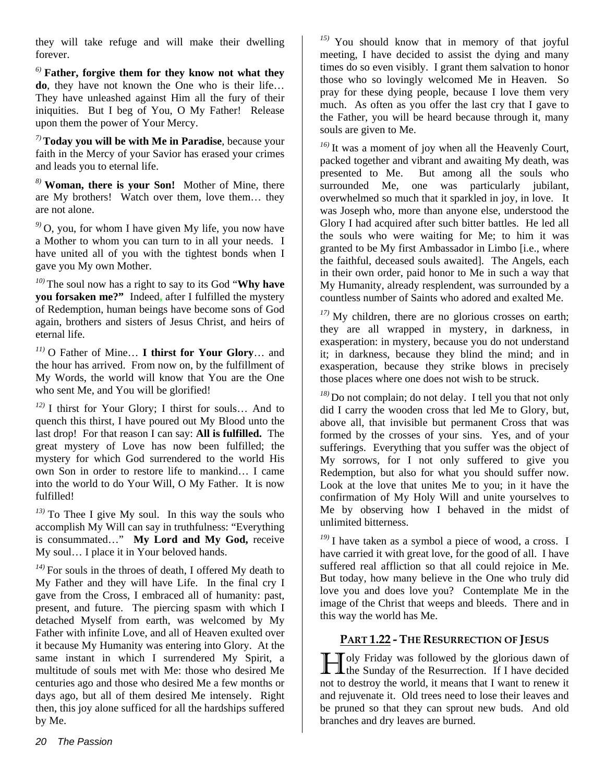they will take refuge and will make their dwelling forever.

*6)* **Father, forgive them for they know not what they do**, they have not known the One who is their life… They have unleashed against Him all the fury of their iniquities. But I beg of You, O My Father! Release upon them the power of Your Mercy.

*7)***Today you will be with Me in Paradise**, because your faith in the Mercy of your Savior has erased your crimes and leads you to eternal life.

*8)* **Woman, there is your Son!** Mother of Mine, there are My brothers! Watch over them, love them… they are not alone.

*9)* O, you, for whom I have given My life, you now have a Mother to whom you can turn to in all your needs. I have united all of you with the tightest bonds when I gave you My own Mother.

*10)* The soul now has a right to say to its God "**Why have you forsaken me?"** Indeed**,** after I fulfilled the mystery of Redemption, human beings have become sons of God again, brothers and sisters of Jesus Christ, and heirs of eternal life.

*11)* O Father of Mine… **I thirst for Your Glory**… and the hour has arrived. From now on, by the fulfillment of My Words, the world will know that You are the One who sent Me, and You will be glorified!

*12)* I thirst for Your Glory; I thirst for souls… And to quench this thirst, I have poured out My Blood unto the last drop! For that reason I can say: **All is fulfilled.** The great mystery of Love has now been fulfilled; the mystery for which God surrendered to the world His own Son in order to restore life to mankind… I came into the world to do Your Will, O My Father. It is now fulfilled!

*13)* To Thee I give My soul. In this way the souls who accomplish My Will can say in truthfulness: "Everything is consummated…" **My Lord and My God,** receive My soul… I place it in Your beloved hands.

*14)* For souls in the throes of death, I offered My death to My Father and they will have Life. In the final cry I gave from the Cross, I embraced all of humanity: past, present, and future. The piercing spasm with which I detached Myself from earth, was welcomed by My Father with infinite Love, and all of Heaven exulted over it because My Humanity was entering into Glory. At the same instant in which I surrendered My Spirit, a multitude of souls met with Me: those who desired Me centuries ago and those who desired Me a few months or days ago, but all of them desired Me intensely. Right then, this joy alone sufficed for all the hardships suffered by Me.

*15)* You should know that in memory of that joyful meeting, I have decided to assist the dying and many times do so even visibly. I grant them salvation to honor those who so lovingly welcomed Me in Heaven. So pray for these dying people, because I love them very much. As often as you offer the last cry that I gave to the Father, you will be heard because through it, many souls are given to Me.

*16)* It was a moment of joy when all the Heavenly Court, packed together and vibrant and awaiting My death, was presented to Me. But among all the souls who surrounded Me, one was particularly jubilant, overwhelmed so much that it sparkled in joy, in love. It was Joseph who, more than anyone else, understood the Glory I had acquired after such bitter battles. He led all the souls who were waiting for Me; to him it was granted to be My first Ambassador in Limbo [i.e., where the faithful, deceased souls awaited]. The Angels, each in their own order, paid honor to Me in such a way that My Humanity, already resplendent, was surrounded by a countless number of Saints who adored and exalted Me.

*17)* My children, there are no glorious crosses on earth; they are all wrapped in mystery, in darkness, in exasperation: in mystery, because you do not understand it; in darkness, because they blind the mind; and in exasperation, because they strike blows in precisely those places where one does not wish to be struck.

*18)* Do not complain; do not delay. I tell you that not only did I carry the wooden cross that led Me to Glory, but, above all, that invisible but permanent Cross that was formed by the crosses of your sins. Yes, and of your sufferings. Everything that you suffer was the object of My sorrows, for I not only suffered to give you Redemption, but also for what you should suffer now. Look at the love that unites Me to you; in it have the confirmation of My Holy Will and unite yourselves to Me by observing how I behaved in the midst of unlimited bitterness.

*19)* I have taken as a symbol a piece of wood, a cross. I have carried it with great love, for the good of all. I have suffered real affliction so that all could rejoice in Me. But today, how many believe in the One who truly did love you and does love you? Contemplate Me in the image of the Christ that weeps and bleeds. There and in this way the world has Me.

#### **PART 1.22 - THE RESURRECTION OF JESUS**

Toly Friday was followed by the glorious dawn of **the Sunday of the Resurrection.** If I have decided not to destroy the world, it means that I want to renew it and rejuvenate it. Old trees need to lose their leaves and be pruned so that they can sprout new buds. And old branches and dry leaves are burned.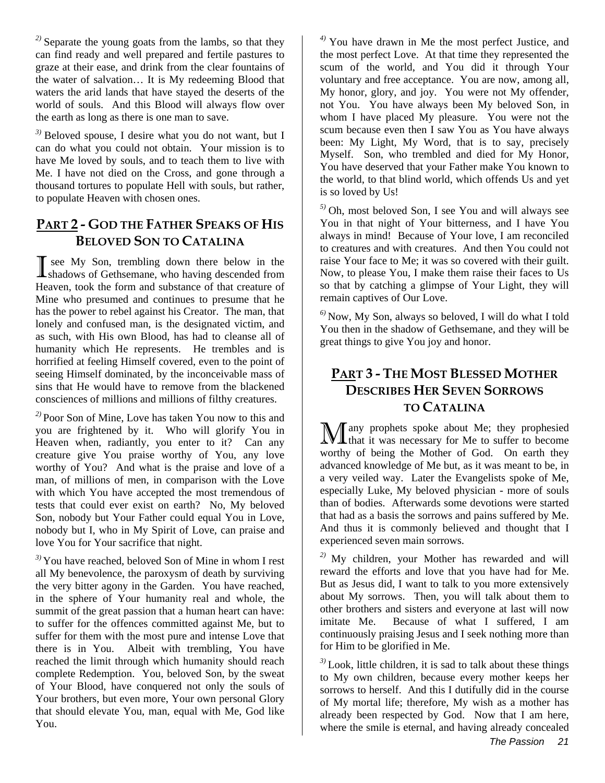*2)* Separate the young goats from the lambs, so that they can find ready and well prepared and fertile pastures to graze at their ease, and drink from the clear fountains of the water of salvation… It is My redeeming Blood that waters the arid lands that have stayed the deserts of the world of souls. And this Blood will always flow over the earth as long as there is one man to save.

*3)* Beloved spouse, I desire what you do not want, but I can do what you could not obtain. Your mission is to have Me loved by souls, and to teach them to live with Me. I have not died on the Cross, and gone through a thousand tortures to populate Hell with souls, but rather, to populate Heaven with chosen ones.

## **PART 2 - GOD THE FATHER SPEAKS OF HIS BELOVED SON TO CATALINA**

 see My Son, trembling down there below in the **I** see My Son, trembling down there below in the shadows of Gethsemane, who having descended from Heaven, took the form and substance of that creature of Mine who presumed and continues to presume that he has the power to rebel against his Creator. The man, that lonely and confused man, is the designated victim, and as such, with His own Blood, has had to cleanse all of humanity which He represents. He trembles and is horrified at feeling Himself covered, even to the point of seeing Himself dominated, by the inconceivable mass of sins that He would have to remove from the blackened consciences of millions and millions of filthy creatures.

*2)* Poor Son of Mine, Love has taken You now to this and you are frightened by it. Who will glorify You in Heaven when, radiantly, you enter to it? Can any creature give You praise worthy of You, any love worthy of You? And what is the praise and love of a man, of millions of men, in comparison with the Love with which You have accepted the most tremendous of tests that could ever exist on earth? No, My beloved Son, nobody but Your Father could equal You in Love, nobody but I, who in My Spirit of Love, can praise and love You for Your sacrifice that night.

*3)* You have reached, beloved Son of Mine in whom I rest all My benevolence, the paroxysm of death by surviving the very bitter agony in the Garden. You have reached, in the sphere of Your humanity real and whole, the summit of the great passion that a human heart can have: to suffer for the offences committed against Me, but to suffer for them with the most pure and intense Love that there is in You. Albeit with trembling, You have reached the limit through which humanity should reach complete Redemption. You, beloved Son, by the sweat of Your Blood, have conquered not only the souls of Your brothers, but even more, Your own personal Glory that should elevate You, man, equal with Me, God like You.

*4)* You have drawn in Me the most perfect Justice, and the most perfect Love. At that time they represented the scum of the world, and You did it through Your voluntary and free acceptance. You are now, among all, My honor, glory, and joy. You were not My offender, not You. You have always been My beloved Son, in whom I have placed My pleasure. You were not the scum because even then I saw You as You have always been: My Light, My Word, that is to say, precisely Myself. Son, who trembled and died for My Honor, You have deserved that your Father make You known to the world, to that blind world, which offends Us and yet is so loved by Us!

*5)* Oh, most beloved Son, I see You and will always see You in that night of Your bitterness, and I have You always in mind! Because of Your love, I am reconciled to creatures and with creatures. And then You could not raise Your face to Me; it was so covered with their guilt. Now, to please You, I make them raise their faces to Us so that by catching a glimpse of Your Light, they will remain captives of Our Love.

*6)* Now, My Son, always so beloved, I will do what I told You then in the shadow of Gethsemane, and they will be great things to give You joy and honor.

## **PART 3 - THE MOST BLESSED MOTHER DESCRIBES HER SEVEN SORROWS TO CATALINA**

any prophets spoke about Me; they prophesied Many prophets spoke about Me; they prophesied<br>Many that it was necessary for Me to suffer to become worthy of being the Mother of God. On earth they advanced knowledge of Me but, as it was meant to be, in a very veiled way. Later the Evangelists spoke of Me, especially Luke, My beloved physician - more of souls than of bodies. Afterwards some devotions were started that had as a basis the sorrows and pains suffered by Me. And thus it is commonly believed and thought that I experienced seven main sorrows.

*2)* My children, your Mother has rewarded and will reward the efforts and love that you have had for Me. But as Jesus did, I want to talk to you more extensively about My sorrows. Then, you will talk about them to other brothers and sisters and everyone at last will now imitate Me. Because of what I suffered, I am continuously praising Jesus and I seek nothing more than for Him to be glorified in Me.

*3)* Look, little children, it is sad to talk about these things to My own children, because every mother keeps her sorrows to herself. And this I dutifully did in the course of My mortal life; therefore, My wish as a mother has already been respected by God. Now that I am here, where the smile is eternal, and having already concealed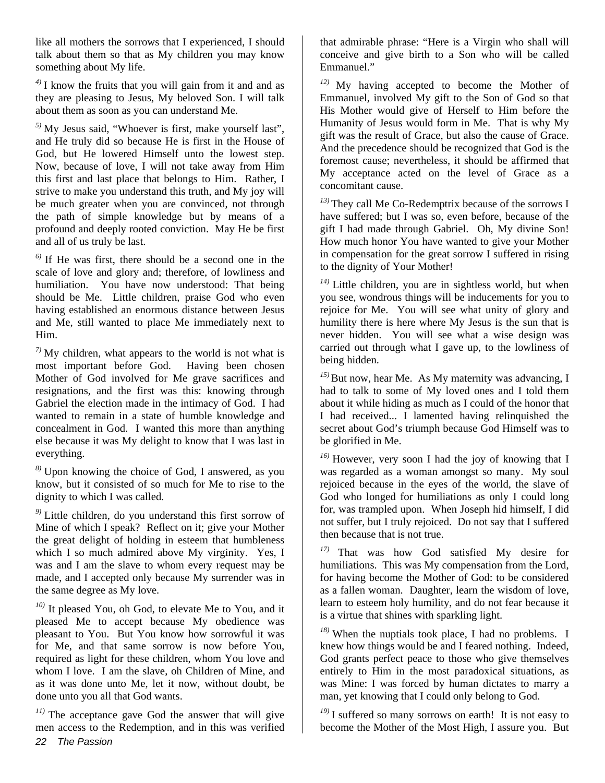like all mothers the sorrows that I experienced, I should talk about them so that as My children you may know something about My life.

*4)* I know the fruits that you will gain from it and and as they are pleasing to Jesus, My beloved Son. I will talk about them as soon as you can understand Me.

*5)* My Jesus said, "Whoever is first, make yourself last", and He truly did so because He is first in the House of God, but He lowered Himself unto the lowest step. Now, because of love, I will not take away from Him this first and last place that belongs to Him. Rather, I strive to make you understand this truth, and My joy will be much greater when you are convinced, not through the path of simple knowledge but by means of a profound and deeply rooted conviction. May He be first and all of us truly be last.

*6)* If He was first, there should be a second one in the scale of love and glory and; therefore, of lowliness and humiliation. You have now understood: That being should be Me. Little children, praise God who even having established an enormous distance between Jesus and Me, still wanted to place Me immediately next to Him.

*7)* My children, what appears to the world is not what is most important before God. Having been chosen Mother of God involved for Me grave sacrifices and resignations, and the first was this: knowing through Gabriel the election made in the intimacy of God. I had wanted to remain in a state of humble knowledge and concealment in God. I wanted this more than anything else because it was My delight to know that I was last in everything.

*8)* Upon knowing the choice of God, I answered, as you know, but it consisted of so much for Me to rise to the dignity to which I was called.

*9)* Little children, do you understand this first sorrow of Mine of which I speak? Reflect on it; give your Mother the great delight of holding in esteem that humbleness which I so much admired above My virginity. Yes, I was and I am the slave to whom every request may be made, and I accepted only because My surrender was in the same degree as My love.

*10)* It pleased You, oh God, to elevate Me to You, and it pleased Me to accept because My obedience was pleasant to You. But You know how sorrowful it was for Me, and that same sorrow is now before You, required as light for these children, whom You love and whom I love. I am the slave, oh Children of Mine, and as it was done unto Me, let it now, without doubt, be done unto you all that God wants.

*22 The Passion 11)* The acceptance gave God the answer that will give men access to the Redemption, and in this was verified

that admirable phrase: "Here is a Virgin who shall will conceive and give birth to a Son who will be called Emmanuel."

*12)* My having accepted to become the Mother of Emmanuel, involved My gift to the Son of God so that His Mother would give of Herself to Him before the Humanity of Jesus would form in Me. That is why My gift was the result of Grace, but also the cause of Grace. And the precedence should be recognized that God is the foremost cause; nevertheless, it should be affirmed that My acceptance acted on the level of Grace as a concomitant cause.

*13)* They call Me Co-Redemptrix because of the sorrows I have suffered; but I was so, even before, because of the gift I had made through Gabriel. Oh, My divine Son! How much honor You have wanted to give your Mother in compensation for the great sorrow I suffered in rising to the dignity of Your Mother!

*14)* Little children, you are in sightless world, but when you see, wondrous things will be inducements for you to rejoice for Me. You will see what unity of glory and humility there is here where My Jesus is the sun that is never hidden. You will see what a wise design was carried out through what I gave up, to the lowliness of being hidden.

<sup>15)</sup>But now, hear Me. As My maternity was advancing, I had to talk to some of My loved ones and I told them about it while hiding as much as I could of the honor that I had received... I lamented having relinquished the secret about God's triumph because God Himself was to be glorified in Me.

*16)* However, very soon I had the joy of knowing that I was regarded as a woman amongst so many. My soul rejoiced because in the eyes of the world, the slave of God who longed for humiliations as only I could long for, was trampled upon. When Joseph hid himself, I did not suffer, but I truly rejoiced. Do not say that I suffered then because that is not true.

*17)* That was how God satisfied My desire for humiliations. This was My compensation from the Lord, for having become the Mother of God: to be considered as a fallen woman. Daughter, learn the wisdom of love, learn to esteem holy humility, and do not fear because it is a virtue that shines with sparkling light.

*18)* When the nuptials took place, I had no problems. I knew how things would be and I feared nothing. Indeed, God grants perfect peace to those who give themselves entirely to Him in the most paradoxical situations, as was Mine: I was forced by human dictates to marry a man, yet knowing that I could only belong to God.

*19)* I suffered so many sorrows on earth! It is not easy to become the Mother of the Most High, I assure you. But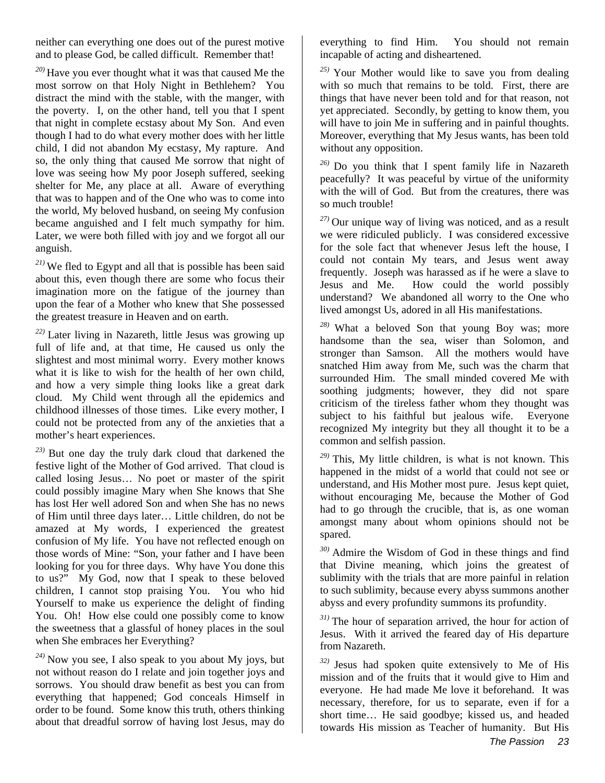neither can everything one does out of the purest motive and to please God, be called difficult. Remember that!

*20)* Have you ever thought what it was that caused Me the most sorrow on that Holy Night in Bethlehem? You distract the mind with the stable, with the manger, with the poverty. I, on the other hand, tell you that I spent that night in complete ecstasy about My Son. And even though I had to do what every mother does with her little child, I did not abandon My ecstasy, My rapture. And so, the only thing that caused Me sorrow that night of love was seeing how My poor Joseph suffered, seeking shelter for Me, any place at all. Aware of everything that was to happen and of the One who was to come into the world, My beloved husband, on seeing My confusion became anguished and I felt much sympathy for him. Later, we were both filled with joy and we forgot all our anguish.

*21)* We fled to Egypt and all that is possible has been said about this, even though there are some who focus their imagination more on the fatigue of the journey than upon the fear of a Mother who knew that She possessed the greatest treasure in Heaven and on earth.

*22)* Later living in Nazareth, little Jesus was growing up full of life and, at that time, He caused us only the slightest and most minimal worry. Every mother knows what it is like to wish for the health of her own child, and how a very simple thing looks like a great dark cloud. My Child went through all the epidemics and childhood illnesses of those times. Like every mother, I could not be protected from any of the anxieties that a mother's heart experiences.

*23)* But one day the truly dark cloud that darkened the festive light of the Mother of God arrived. That cloud is called losing Jesus… No poet or master of the spirit could possibly imagine Mary when She knows that She has lost Her well adored Son and when She has no news of Him until three days later… Little children, do not be amazed at My words, I experienced the greatest confusion of My life. You have not reflected enough on those words of Mine: "Son, your father and I have been looking for you for three days. Why have You done this to us?" My God, now that I speak to these beloved children, I cannot stop praising You. You who hid Yourself to make us experience the delight of finding You. Oh! How else could one possibly come to know the sweetness that a glassful of honey places in the soul when She embraces her Everything?

*24)* Now you see, I also speak to you about My joys, but not without reason do I relate and join together joys and sorrows. You should draw benefit as best you can from everything that happened; God conceals Himself in order to be found. Some know this truth, others thinking about that dreadful sorrow of having lost Jesus, may do

everything to find Him. You should not remain incapable of acting and disheartened.

*25)* Your Mother would like to save you from dealing with so much that remains to be told. First, there are things that have never been told and for that reason, not yet appreciated. Secondly, by getting to know them, you will have to join Me in suffering and in painful thoughts. Moreover, everything that My Jesus wants, has been told without any opposition.

*26)* Do you think that I spent family life in Nazareth peacefully? It was peaceful by virtue of the uniformity with the will of God. But from the creatures, there was so much trouble!

*27)* Our unique way of living was noticed, and as a result we were ridiculed publicly. I was considered excessive for the sole fact that whenever Jesus left the house, I could not contain My tears, and Jesus went away frequently. Joseph was harassed as if he were a slave to Jesus and Me. How could the world possibly understand? We abandoned all worry to the One who lived amongst Us, adored in all His manifestations.

*28)* What a beloved Son that young Boy was; more handsome than the sea, wiser than Solomon, and stronger than Samson. All the mothers would have snatched Him away from Me, such was the charm that surrounded Him. The small minded covered Me with soothing judgments; however, they did not spare criticism of the tireless father whom they thought was subject to his faithful but jealous wife. Everyone recognized My integrity but they all thought it to be a common and selfish passion.

*29)* This, My little children, is what is not known. This happened in the midst of a world that could not see or understand, and His Mother most pure. Jesus kept quiet, without encouraging Me, because the Mother of God had to go through the crucible, that is, as one woman amongst many about whom opinions should not be spared.

*30)* Admire the Wisdom of God in these things and find that Divine meaning, which joins the greatest of sublimity with the trials that are more painful in relation to such sublimity, because every abyss summons another abyss and every profundity summons its profundity.

*31)* The hour of separation arrived, the hour for action of Jesus. With it arrived the feared day of His departure from Nazareth.

*32)* Jesus had spoken quite extensively to Me of His mission and of the fruits that it would give to Him and everyone. He had made Me love it beforehand. It was necessary, therefore, for us to separate, even if for a short time… He said goodbye; kissed us, and headed towards His mission as Teacher of humanity. But His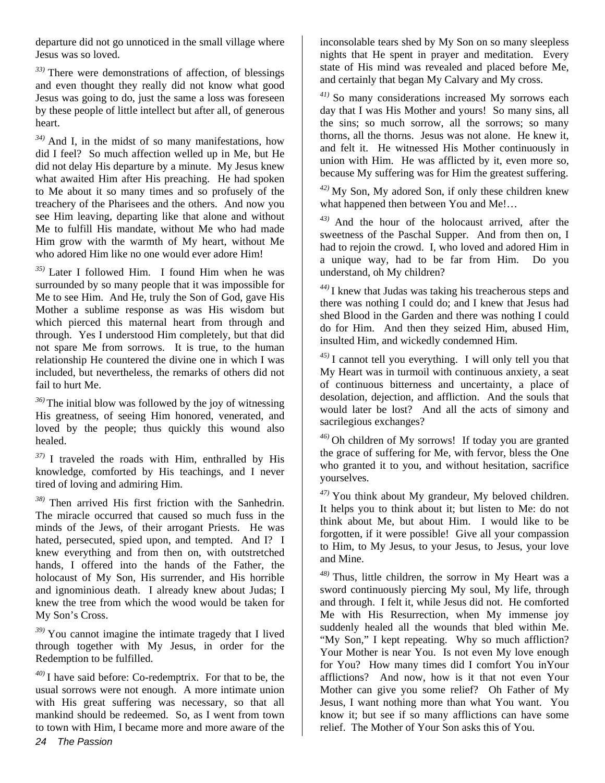departure did not go unnoticed in the small village where Jesus was so loved.

*33)* There were demonstrations of affection, of blessings and even thought they really did not know what good Jesus was going to do, just the same a loss was foreseen by these people of little intellect but after all, of generous heart.

*34)* And I, in the midst of so many manifestations, how did I feel? So much affection welled up in Me, but He did not delay His departure by a minute. My Jesus knew what awaited Him after His preaching. He had spoken to Me about it so many times and so profusely of the treachery of the Pharisees and the others. And now you see Him leaving, departing like that alone and without Me to fulfill His mandate, without Me who had made Him grow with the warmth of My heart, without Me who adored Him like no one would ever adore Him!

*35)* Later I followed Him. I found Him when he was surrounded by so many people that it was impossible for Me to see Him. And He, truly the Son of God, gave His Mother a sublime response as was His wisdom but which pierced this maternal heart from through and through. Yes I understood Him completely, but that did not spare Me from sorrows. It is true, to the human relationship He countered the divine one in which I was included, but nevertheless, the remarks of others did not fail to hurt Me.

*36)* The initial blow was followed by the joy of witnessing His greatness, of seeing Him honored, venerated, and loved by the people; thus quickly this wound also healed.

*37)* I traveled the roads with Him, enthralled by His knowledge, comforted by His teachings, and I never tired of loving and admiring Him.

*38)* Then arrived His first friction with the Sanhedrin. The miracle occurred that caused so much fuss in the minds of the Jews, of their arrogant Priests. He was hated, persecuted, spied upon, and tempted. And I? I knew everything and from then on, with outstretched hands, I offered into the hands of the Father, the holocaust of My Son, His surrender, and His horrible and ignominious death. I already knew about Judas; I knew the tree from which the wood would be taken for My Son's Cross.

*39)* You cannot imagine the intimate tragedy that I lived through together with My Jesus, in order for the Redemption to be fulfilled.

*40)* I have said before: Co-redemptrix. For that to be, the usual sorrows were not enough. A more intimate union with His great suffering was necessary, so that all mankind should be redeemed. So, as I went from town to town with Him, I became more and more aware of the

inconsolable tears shed by My Son on so many sleepless nights that He spent in prayer and meditation. Every state of His mind was revealed and placed before Me, and certainly that began My Calvary and My cross.

*41)* So many considerations increased My sorrows each day that I was His Mother and yours! So many sins, all the sins; so much sorrow, all the sorrows; so many thorns, all the thorns. Jesus was not alone. He knew it, and felt it. He witnessed His Mother continuously in union with Him. He was afflicted by it, even more so, because My suffering was for Him the greatest suffering.

*42)* My Son, My adored Son, if only these children knew what happened then between You and Me!...

*43)* And the hour of the holocaust arrived, after the sweetness of the Paschal Supper. And from then on, I had to rejoin the crowd. I, who loved and adored Him in a unique way, had to be far from Him. Do you understand, oh My children?

*44)* I knew that Judas was taking his treacherous steps and there was nothing I could do; and I knew that Jesus had shed Blood in the Garden and there was nothing I could do for Him. And then they seized Him, abused Him, insulted Him, and wickedly condemned Him.

*45)* I cannot tell you everything. I will only tell you that My Heart was in turmoil with continuous anxiety, a seat of continuous bitterness and uncertainty, a place of desolation, dejection, and affliction. And the souls that would later be lost? And all the acts of simony and sacrilegious exchanges?

*46)* Oh children of My sorrows! If today you are granted the grace of suffering for Me, with fervor, bless the One who granted it to you, and without hesitation, sacrifice yourselves.

*47)* You think about My grandeur, My beloved children. It helps you to think about it; but listen to Me: do not think about Me, but about Him. I would like to be forgotten, if it were possible! Give all your compassion to Him, to My Jesus, to your Jesus, to Jesus, your love and Mine.

*48)* Thus, little children, the sorrow in My Heart was a sword continuously piercing My soul, My life, through and through. I felt it, while Jesus did not. He comforted Me with His Resurrection, when My immense joy suddenly healed all the wounds that bled within Me. "My Son," I kept repeating. Why so much affliction? Your Mother is near You. Is not even My love enough for You? How many times did I comfort You inYour afflictions? And now, how is it that not even Your Mother can give you some relief? Oh Father of My Jesus, I want nothing more than what You want. You know it; but see if so many afflictions can have some relief. The Mother of Your Son asks this of You.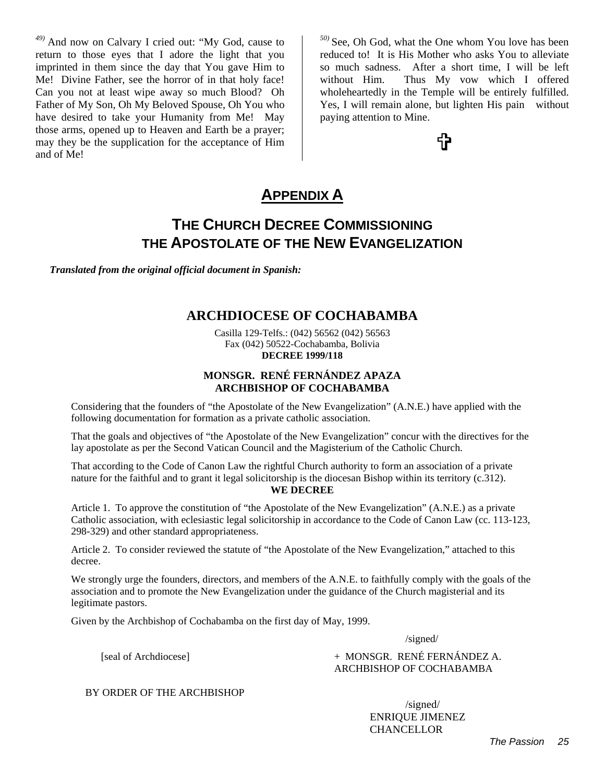*49)* And now on Calvary I cried out: "My God, cause to return to those eyes that I adore the light that you imprinted in them since the day that You gave Him to Me! Divine Father, see the horror of in that holy face! Can you not at least wipe away so much Blood? Oh Father of My Son, Oh My Beloved Spouse, Oh You who have desired to take your Humanity from Me! May those arms, opened up to Heaven and Earth be a prayer; may they be the supplication for the acceptance of Him and of Me!

*50)* See, Oh God, what the One whom You love has been reduced to! It is His Mother who asks You to alleviate so much sadness. After a short time, I will be left without Him. Thus My vow which I offered wholeheartedly in the Temple will be entirely fulfilled. Yes, I will remain alone, but lighten His pain without paying attention to Mine.

t

## **APPENDIX A**

## **THE CHURCH DECREE COMMISSIONING THE APOSTOLATE OF THE NEW EVANGELIZATION**

*Translated from the original official document in Spanish:*

#### **ARCHDIOCESE OF COCHABAMBA**

Casilla 129-Telfs.: (042) 56562 (042) 56563 Fax (042) 50522-Cochabamba, Bolivia **DECREE 1999/118** 

#### **MONSGR. RENÉ FERNÁNDEZ APAZA ARCHBISHOP OF COCHABAMBA**

Considering that the founders of "the Apostolate of the New Evangelization" (A.N.E.) have applied with the following documentation for formation as a private catholic association.

That the goals and objectives of "the Apostolate of the New Evangelization" concur with the directives for the lay apostolate as per the Second Vatican Council and the Magisterium of the Catholic Church.

That according to the Code of Canon Law the rightful Church authority to form an association of a private nature for the faithful and to grant it legal solicitorship is the diocesan Bishop within its territory (c.312). **WE DECREE** 

Article 1. To approve the constitution of "the Apostolate of the New Evangelization" (A.N.E.) as a private Catholic association, with eclesiastic legal solicitorship in accordance to the Code of Canon Law (cc. 113-123, 298-329) and other standard appropriateness.

Article 2. To consider reviewed the statute of "the Apostolate of the New Evangelization," attached to this decree.

We strongly urge the founders, directors, and members of the A.N.E. to faithfully comply with the goals of the association and to promote the New Evangelization under the guidance of the Church magisterial and its legitimate pastors.

Given by the Archbishop of Cochabamba on the first day of May, 1999.

/signed/

[seal of Archdiocese]  $+$  MONSGR. RENÉ FERNÁNDEZ A. ARCHBISHOP OF COCHABAMBA

BY ORDER OF THE ARCHBISHOP

 /signed/ ENRIQUE JIMENEZ **CHANCELLOR**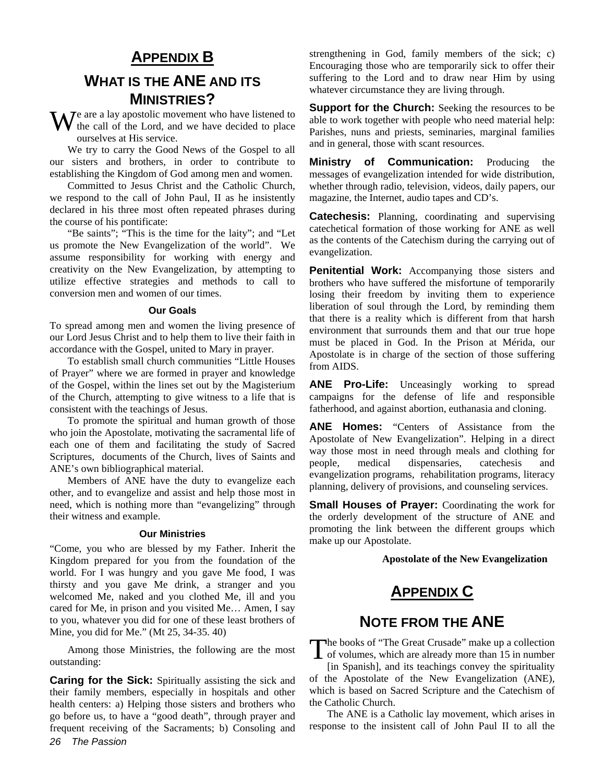## **APPENDIX B**

## **WHAT IS THE ANE AND ITS MINISTRIES?**

e are a lay apostolic movement who have listened to  $\mathbf{W}$ <sup>e</sup> are a lay apostolic movement who have listened to the call of the Lord, and we have decided to place ourselves at His service.

We try to carry the Good News of the Gospel to all our sisters and brothers, in order to contribute to establishing the Kingdom of God among men and women.

Committed to Jesus Christ and the Catholic Church, we respond to the call of John Paul, II as he insistently declared in his three most often repeated phrases during the course of his pontificate:

"Be saints"; "This is the time for the laity"; and "Let us promote the New Evangelization of the world". We assume responsibility for working with energy and creativity on the New Evangelization, by attempting to utilize effective strategies and methods to call to conversion men and women of our times.

#### **Our Goals**

To spread among men and women the living presence of our Lord Jesus Christ and to help them to live their faith in accordance with the Gospel, united to Mary in prayer.

To establish small church communities "Little Houses of Prayer" where we are formed in prayer and knowledge of the Gospel, within the lines set out by the Magisterium of the Church, attempting to give witness to a life that is consistent with the teachings of Jesus.

To promote the spiritual and human growth of those who join the Apostolate, motivating the sacramental life of each one of them and facilitating the study of Sacred Scriptures, documents of the Church, lives of Saints and ANE's own bibliographical material.

Members of ANE have the duty to evangelize each other, and to evangelize and assist and help those most in need, which is nothing more than "evangelizing" through their witness and example.

#### **Our Ministries**

"Come, you who are blessed by my Father. Inherit the Kingdom prepared for you from the foundation of the world. For I was hungry and you gave Me food, I was thirsty and you gave Me drink, a stranger and you welcomed Me, naked and you clothed Me, ill and you cared for Me, in prison and you visited Me… Amen, I say to you, whatever you did for one of these least brothers of Mine, you did for Me." (Mt 25, 34-35. 40)

Among those Ministries, the following are the most outstanding:

*26 The Passion*  **Caring for the Sick:** Spiritually assisting the sick and their family members, especially in hospitals and other health centers: a) Helping those sisters and brothers who go before us, to have a "good death", through prayer and frequent receiving of the Sacraments; b) Consoling and strengthening in God, family members of the sick; c) Encouraging those who are temporarily sick to offer their suffering to the Lord and to draw near Him by using whatever circumstance they are living through.

**Support for the Church:** Seeking the resources to be able to work together with people who need material help: Parishes, nuns and priests, seminaries, marginal families and in general, those with scant resources.

**Ministry of Communication:** Producing the messages of evangelization intended for wide distribution, whether through radio, television, videos, daily papers, our magazine, the Internet, audio tapes and CD's.

**Catechesis:** Planning, coordinating and supervising catechetical formation of those working for ANE as well as the contents of the Catechism during the carrying out of evangelization.

**Penitential Work:** Accompanying those sisters and brothers who have suffered the misfortune of temporarily losing their freedom by inviting them to experience liberation of soul through the Lord, by reminding them that there is a reality which is different from that harsh environment that surrounds them and that our true hope must be placed in God. In the Prison at Mérida, our Apostolate is in charge of the section of those suffering from AIDS.

**ANE Pro-Life:** Unceasingly working to spread campaigns for the defense of life and responsible fatherhood, and against abortion, euthanasia and cloning.

**ANE Homes:** "Centers of Assistance from the Apostolate of New Evangelization". Helping in a direct way those most in need through meals and clothing for people, medical dispensaries, catechesis and evangelization programs, rehabilitation programs, literacy planning, delivery of provisions, and counseling services.

**Small Houses of Prayer:** Coordinating the work for the orderly development of the structure of ANE and promoting the link between the different groups which make up our Apostolate.

#### **Apostolate of the New Evangelization**

## **APPENDIX C**

#### **NOTE FROM THE ANE**

he books of "The Great Crusade" make up a collection The books of "The Great Crusade" make up a collection<br>of volumes, which are already more than 15 in number [in Spanish], and its teachings convey the spirituality of the Apostolate of the New Evangelization (ANE), which is based on Sacred Scripture and the Catechism of the Catholic Church.

The ANE is a Catholic lay movement, which arises in response to the insistent call of John Paul II to all the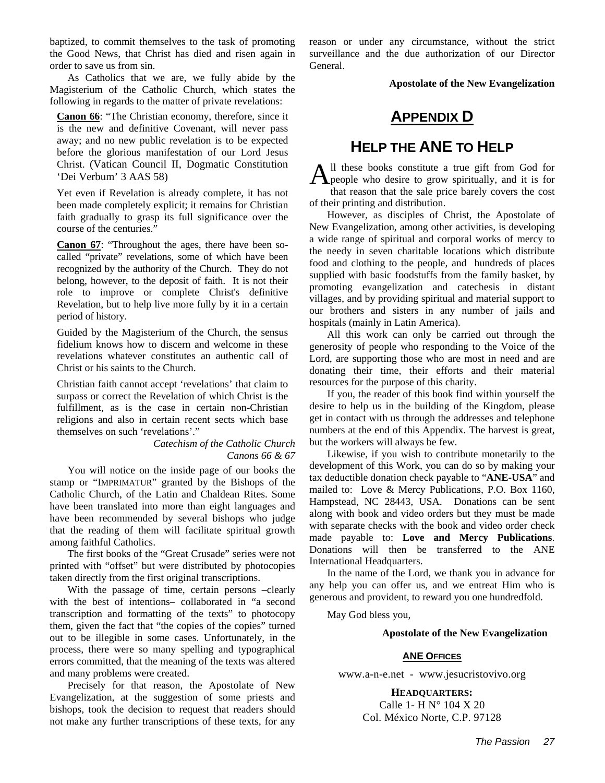baptized, to commit themselves to the task of promoting the Good News, that Christ has died and risen again in order to save us from sin.

As Catholics that we are, we fully abide by the Magisterium of the Catholic Church, which states the following in regards to the matter of private revelations:

**Canon 66**: "The Christian economy, therefore, since it is the new and definitive Covenant, will never pass away; and no new public revelation is to be expected before the glorious manifestation of our Lord Jesus Christ. (Vatican Council II, Dogmatic Constitution 'Dei Verbum' 3 AAS 58)

Yet even if Revelation is already complete, it has not been made completely explicit; it remains for Christian faith gradually to grasp its full significance over the course of the centuries."

**Canon 67**: "Throughout the ages, there have been socalled "private" revelations, some of which have been recognized by the authority of the Church. They do not belong, however, to the deposit of faith. It is not their role to improve or complete Christ's definitive Revelation, but to help live more fully by it in a certain period of history.

Guided by the Magisterium of the Church, the sensus fidelium knows how to discern and welcome in these revelations whatever constitutes an authentic call of Christ or his saints to the Church.

Christian faith cannot accept 'revelations' that claim to surpass or correct the Revelation of which Christ is the fulfillment, as is the case in certain non-Christian religions and also in certain recent sects which base themselves on such 'revelations'."

> *Catechism of the Catholic Church Canons 66 & 67*

You will notice on the inside page of our books the stamp or "IMPRIMATUR" granted by the Bishops of the Catholic Church, of the Latin and Chaldean Rites. Some have been translated into more than eight languages and have been recommended by several bishops who judge that the reading of them will facilitate spiritual growth among faithful Catholics.

The first books of the "Great Crusade" series were not printed with "offset" but were distributed by photocopies taken directly from the first original transcriptions.

With the passage of time, certain persons –clearly with the best of intentions– collaborated in "a second transcription and formatting of the texts" to photocopy them, given the fact that "the copies of the copies" turned out to be illegible in some cases. Unfortunately, in the process, there were so many spelling and typographical errors committed, that the meaning of the texts was altered and many problems were created.

Precisely for that reason, the Apostolate of New Evangelization, at the suggestion of some priests and bishops, took the decision to request that readers should not make any further transcriptions of these texts, for any

reason or under any circumstance, without the strict surveillance and the due authorization of our Director General.

**Apostolate of the New Evangelization** 

## **APPENDIX D**

## **HELP THE ANE TO HELP**

ll these books constitute a true gift from God for All these books constitute a true gift from God for<br>
people who desire to grow spiritually, and it is for that reason that the sale price barely covers the cost of their printing and distribution.

However, as disciples of Christ, the Apostolate of New Evangelization, among other activities, is developing a wide range of spiritual and corporal works of mercy to the needy in seven charitable locations which distribute food and clothing to the people, and hundreds of places supplied with basic foodstuffs from the family basket, by promoting evangelization and catechesis in distant villages, and by providing spiritual and material support to our brothers and sisters in any number of jails and hospitals (mainly in Latin America).

All this work can only be carried out through the generosity of people who responding to the Voice of the Lord, are supporting those who are most in need and are donating their time, their efforts and their material resources for the purpose of this charity.

If you, the reader of this book find within yourself the desire to help us in the building of the Kingdom, please get in contact with us through the addresses and telephone numbers at the end of this Appendix. The harvest is great, but the workers will always be few.

Likewise, if you wish to contribute monetarily to the development of this Work, you can do so by making your tax deductible donation check payable to "**ANE-USA**" and mailed to: Love & Mercy Publications, P.O. Box 1160, Hampstead, NC 28443, USA. Donations can be sent along with book and video orders but they must be made with separate checks with the book and video order check made payable to: **Love and Mercy Publications**. Donations will then be transferred to the ANE International Headquarters.

In the name of the Lord, we thank you in advance for any help you can offer us, and we entreat Him who is generous and provident, to reward you one hundredfold.

May God bless you,

#### **Apostolate of the New Evangelization**

#### **ANE OFFICES**

www.a-n-e.net - www.jesucristovivo.org

**HEADQUARTERS:**  Calle 1- H N° 104 X 20 Col. México Norte, C.P. 97128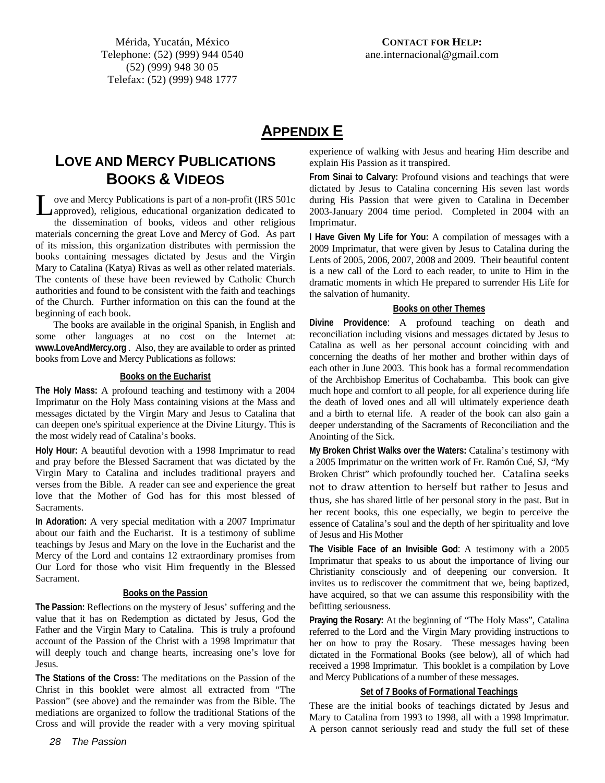## **APPENDIX E**

## **LOVE AND MERCY PUBLICATIONS BOOKS & VIDEOS**

ove and Mercy Publications is part of a non-profit (IRS 501c approved), religious, educational organization dedicated to the dissemination of books, videos and other religious materials concerning the great Love and Mercy of God. As part of its mission, this organization distributes with permission the books containing messages dictated by Jesus and the Virgin Mary to Catalina (Katya) Rivas as well as other related materials. The contents of these have been reviewed by Catholic Church authorities and found to be consistent with the faith and teachings of the Church. Further information on this can the found at the beginning of each book. L

The books are available in the original Spanish, in English and some other languages at no cost on the Internet at: **www.LoveAndMercy.org** . Also, they are available to order as printed books from Love and Mercy Publications as follows:

#### **Books on the Eucharist**

**The Holy Mass:** A profound teaching and testimony with a 2004 Imprimatur on the Holy Mass containing visions at the Mass and messages dictated by the Virgin Mary and Jesus to Catalina that can deepen one's spiritual experience at the Divine Liturgy. This is the most widely read of Catalina's books.

**Holy Hour:** A beautiful devotion with a 1998 Imprimatur to read and pray before the Blessed Sacrament that was dictated by the Virgin Mary to Catalina and includes traditional prayers and verses from the Bible. A reader can see and experience the great love that the Mother of God has for this most blessed of Sacraments.

**In Adoration:** A very special meditation with a 2007 Imprimatur about our faith and the Eucharist. It is a testimony of sublime teachings by Jesus and Mary on the love in the Eucharist and the Mercy of the Lord and contains 12 extraordinary promises from Our Lord for those who visit Him frequently in the Blessed Sacrament.

#### **Books on the Passion**

**The Passion:** Reflections on the mystery of Jesus' suffering and the value that it has on Redemption as dictated by Jesus, God the Father and the Virgin Mary to Catalina. This is truly a profound account of the Passion of the Christ with a 1998 Imprimatur that will deeply touch and change hearts, increasing one's love for Jesus.

**The Stations of the Cross:** The meditations on the Passion of the Christ in this booklet were almost all extracted from "The Passion" (see above) and the remainder was from the Bible. The mediations are organized to follow the traditional Stations of the Cross and will provide the reader with a very moving spiritual experience of walking with Jesus and hearing Him describe and explain His Passion as it transpired.

**From Sinai to Calvary:** Profound visions and teachings that were dictated by Jesus to Catalina concerning His seven last words during His Passion that were given to Catalina in December 2003-January 2004 time period. Completed in 2004 with an Imprimatur.

**I Have Given My Life for You:** A compilation of messages with a 2009 Imprimatur, that were given by Jesus to Catalina during the Lents of 2005, 2006, 2007, 2008 and 2009. Their beautiful content is a new call of the Lord to each reader, to unite to Him in the dramatic moments in which He prepared to surrender His Life for the salvation of humanity.

#### **Books on other Themes**

**Divine Providence**: A profound teaching on death and reconciliation including visions and messages dictated by Jesus to Catalina as well as her personal account coinciding with and concerning the deaths of her mother and brother within days of each other in June 2003. This book has a formal recommendation of the Archbishop Emeritus of Cochabamba. This book can give much hope and comfort to all people, for all experience during life the death of loved ones and all will ultimately experience death and a birth to eternal life. A reader of the book can also gain a deeper understanding of the Sacraments of Reconciliation and the Anointing of the Sick.

**My Broken Christ Walks over the Waters:** Catalina's testimony with a 2005 Imprimatur on the written work of Fr. Ramón Cué, SJ, "My Broken Christ" which profoundly touched her. Catalina seeks not to draw attention to herself but rather to Jesus and thus, she has shared little of her personal story in the past. But in her recent books, this one especially, we begin to perceive the essence of Catalina's soul and the depth of her spirituality and love of Jesus and His Mother

**The Visible Face of an Invisible God**: A testimony with a 2005 Imprimatur that speaks to us about the importance of living our Christianity consciously and of deepening our conversion. It invites us to rediscover the commitment that we, being baptized, have acquired, so that we can assume this responsibility with the befitting seriousness.

**Praying the Rosary:** At the beginning of "The Holy Mass", Catalina referred to the Lord and the Virgin Mary providing instructions to her on how to pray the Rosary. These messages having been dictated in the Formational Books (see below), all of which had received a 1998 Imprimatur. This booklet is a compilation by Love and Mercy Publications of a number of these messages.

#### **Set of 7 Books of Formational Teachings**

These are the initial books of teachings dictated by Jesus and Mary to Catalina from 1993 to 1998, all with a 1998 Imprimatur. A person cannot seriously read and study the full set of these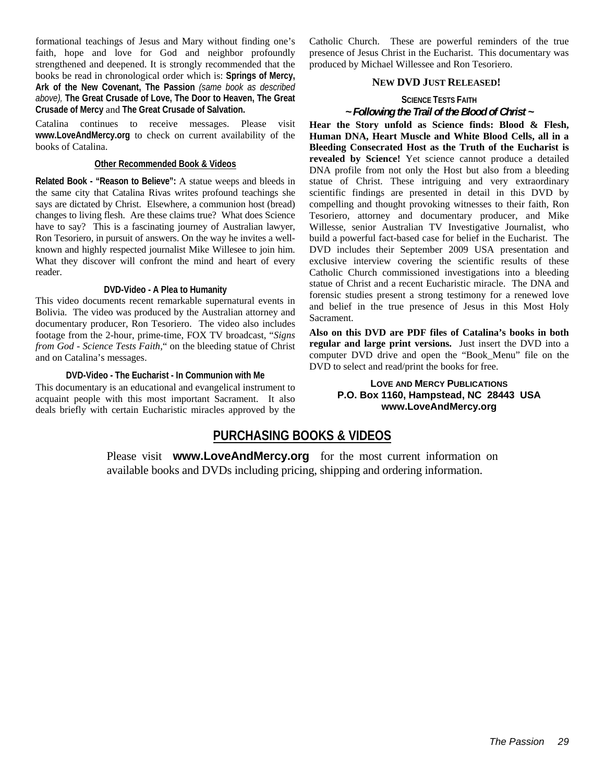formational teachings of Jesus and Mary without finding one's faith, hope and love for God and neighbor profoundly strengthened and deepened. It is strongly recommended that the books be read in chronological order which is: **Springs of Mercy, Ark of the New Covenant, The Passion** *(same book as described above),* **The Great Crusade of Love, The Door to Heaven, The Great Crusade of Mercy** and **The Great Crusade of Salvation.**

Catalina continues to receive messages. Please visit **www.LoveAndMercy.org** to check on current availability of the books of Catalina.

#### **Other Recommended Book & Videos**

**Related Book - "Reason to Believe":** A statue weeps and bleeds in the same city that Catalina Rivas writes profound teachings she says are dictated by Christ. Elsewhere, a communion host (bread) changes to living flesh. Are these claims true? What does Science have to say? This is a fascinating journey of Australian lawyer, Ron Tesoriero, in pursuit of answers. On the way he invites a wellknown and highly respected journalist Mike Willesee to join him. What they discover will confront the mind and heart of every reader.

#### **DVD-Video - A Plea to Humanity**

This video documents recent remarkable supernatural events in Bolivia. The video was produced by the Australian attorney and documentary producer, Ron Tesoriero. The video also includes footage from the 2-hour, prime-time, FOX TV broadcast, "*Signs from God - Science Tests Faith*," on the bleeding statue of Christ and on Catalina's messages.

#### **DVD-Video - The Eucharist - In Communion with Me**

This documentary is an educational and evangelical instrument to acquaint people with this most important Sacrament. It also deals briefly with certain Eucharistic miracles approved by the Catholic Church. These are powerful reminders of the true presence of Jesus Christ in the Eucharist. This documentary was produced by Michael Willessee and Ron Tesoriero.

#### **NEW DVD JUST RELEASED!**

### **SCIENCE TESTS FAITH**

#### *~ Following the Trail of the Blood of Christ ~*

**Hear the Story unfold as Science finds: Blood & Flesh, Human DNA, Heart Muscle and White Blood Cells, all in a Bleeding Consecrated Host as the Truth of the Eucharist is revealed by Science!** Yet science cannot produce a detailed DNA profile from not only the Host but also from a bleeding statue of Christ. These intriguing and very extraordinary scientific findings are presented in detail in this DVD by compelling and thought provoking witnesses to their faith, Ron Tesoriero, attorney and documentary producer, and Mike Willesse, senior Australian TV Investigative Journalist, who build a powerful fact-based case for belief in the Eucharist. The DVD includes their September 2009 USA presentation and exclusive interview covering the scientific results of these Catholic Church commissioned investigations into a bleeding statue of Christ and a recent Eucharistic miracle. The DNA and forensic studies present a strong testimony for a renewed love and belief in the true presence of Jesus in this Most Holy Sacrament.

**Also on this DVD are PDF files of Catalina's books in both regular and large print versions.** Just insert the DVD into a computer DVD drive and open the "Book\_Menu" file on the DVD to select and read/print the books for free.

#### **LOVE AND MERCY PUBLICATIONS P.O. Box 1160, Hampstead, NC 28443 USA www.LoveAndMercy.org**

#### **PURCHASING BOOKS & VIDEOS**

Please visit **www.LoveAndMercy.org** for the most current information on available books and DVDs including pricing, shipping and ordering information.